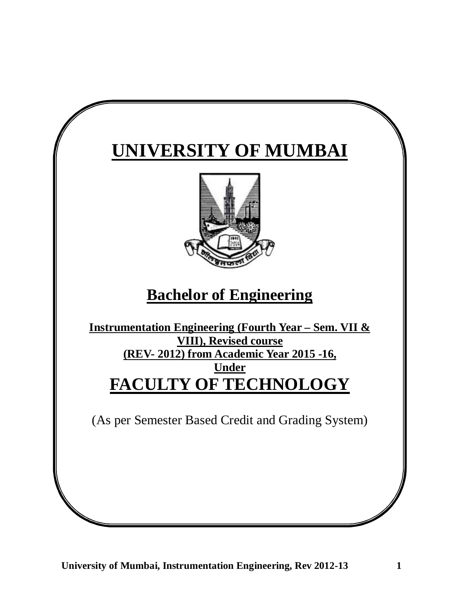# **UNIVERSITY OF MUMBAI**



## **Bachelor of Engineering**

**Instrumentation Engineering (Fourth Year – Sem. VII & VIII), Revised course (REV- 2012) from Academic Year 2015 -16, Under FACULTY OF TECHNOLOGY**

(As per Semester Based Credit and Grading System)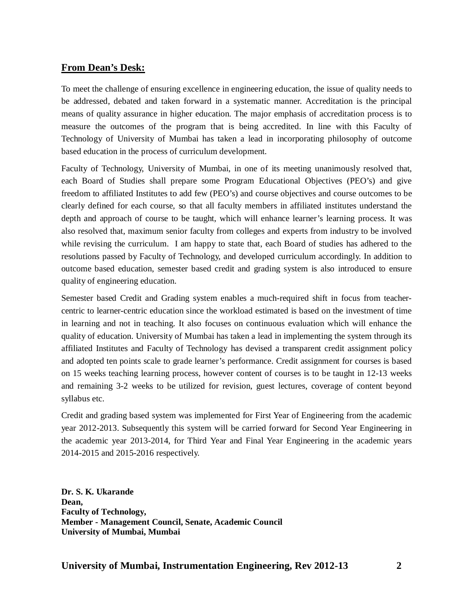## **From Dean's Desk:**

To meet the challenge of ensuring excellence in engineering education, the issue of quality needs to be addressed, debated and taken forward in a systematic manner. Accreditation is the principal means of quality assurance in higher education. The major emphasis of accreditation process is to measure the outcomes of the program that is being accredited. In line with this Faculty of Technology of University of Mumbai has taken a lead in incorporating philosophy of outcome based education in the process of curriculum development.

Faculty of Technology, University of Mumbai, in one of its meeting unanimously resolved that, each Board of Studies shall prepare some Program Educational Objectives (PEO's) and give freedom to affiliated Institutes to add few (PEO's) and course objectives and course outcomes to be clearly defined for each course, so that all faculty members in affiliated institutes understand the depth and approach of course to be taught, which will enhance learner's learning process. It was also resolved that, maximum senior faculty from colleges and experts from industry to be involved while revising the curriculum. I am happy to state that, each Board of studies has adhered to the resolutions passed by Faculty of Technology, and developed curriculum accordingly. In addition to outcome based education, semester based credit and grading system is also introduced to ensure quality of engineering education.

Semester based Credit and Grading system enables a much-required shift in focus from teachercentric to learner-centric education since the workload estimated is based on the investment of time in learning and not in teaching. It also focuses on continuous evaluation which will enhance the quality of education. University of Mumbai has taken a lead in implementing the system through its affiliated Institutes and Faculty of Technology has devised a transparent credit assignment policy and adopted ten points scale to grade learner's performance. Credit assignment for courses is based on 15 weeks teaching learning process, however content of courses is to be taught in 12-13 weeks and remaining 3-2 weeks to be utilized for revision, guest lectures, coverage of content beyond syllabus etc.

Credit and grading based system was implemented for First Year of Engineering from the academic year 2012-2013. Subsequently this system will be carried forward for Second Year Engineering in the academic year 2013-2014, for Third Year and Final Year Engineering in the academic years 2014-2015 and 2015-2016 respectively.

**Dr. S. K. Ukarande Dean, Faculty of Technology, Member - Management Council, Senate, Academic Council University of Mumbai, Mumbai**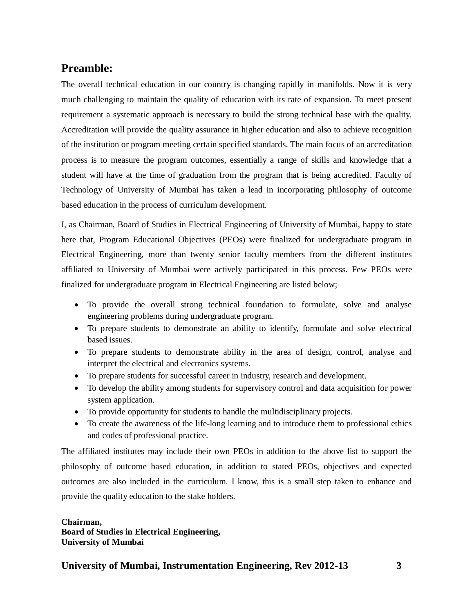## **Preamble:**

The overall technical education in our country is changing rapidly in manifolds. Now it is very much challenging to maintain the quality of education with its rate of expansion. To meet present requirement a systematic approach is necessary to build the strong technical base with the quality. Accreditation will provide the quality assurance in higher education and also to achieve recognition of the institution or program meeting certain specified standards. The main focus of an accreditation process is to measure the program outcomes, essentially a range of skills and knowledge that a student will have at the time of graduation from the program that is being accredited. Faculty of Technology of University of Mumbai has taken a lead in incorporating philosophy of outcome based education in the process of curriculum development.

I, as Chairman, Board of Studies in Electrical Engineering of University of Mumbai, happy to state here that, Program Educational Objectives (PEOs) were finalized for undergraduate program in Electrical Engineering, more than twenty senior faculty members from the different institutes affiliated to University of Mumbai were actively participated in this process. Few PEOs were finalized for undergraduate program in Electrical Engineering are listed below;

- To provide the overall strong technical foundation to formulate, solve and analyse engineering problems during undergraduate program.
- To prepare students to demonstrate an ability to identify, formulate and solve electrical based issues.
- To prepare students to demonstrate ability in the area of design, control, analyse and interpret the electrical and electronics systems.
- To prepare students for successful career in industry, research and development.
- To develop the ability among students for supervisory control and data acquisition for power system application.
- To provide opportunity for students to handle the multidisciplinary projects.
- To create the awareness of the life-long learning and to introduce them to professional ethics and codes of professional practice.

The affiliated institutes may include their own PEOs in addition to the above list to support the philosophy of outcome based education, in addition to stated PEOs, objectives and expected outcomes are also included in the curriculum. I know, this is a small step taken to enhance and provide the quality education to the stake holders.

**Chairman, Board of Studies in Electrical Engineering, University of Mumbai**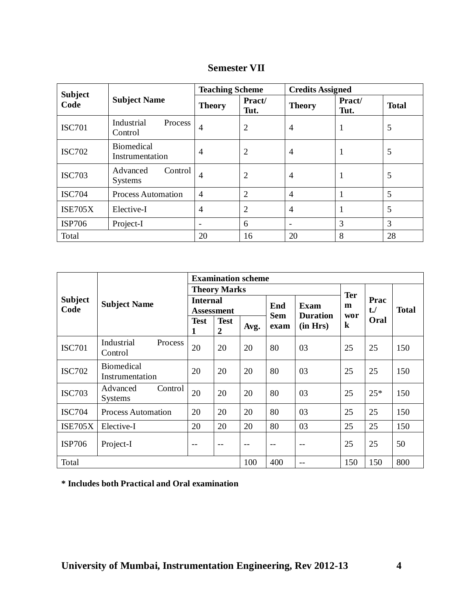| <b>Subject</b> |                                       | <b>Teaching Scheme</b> |                | <b>Credits Assigned</b> |                |              |
|----------------|---------------------------------------|------------------------|----------------|-------------------------|----------------|--------------|
| Code           | <b>Subject Name</b>                   | <b>Theory</b>          | Pract/<br>Tut. | <b>Theory</b>           | Pract/<br>Tut. | <b>Total</b> |
| <b>ISC701</b>  | Industrial<br>Process<br>Control      | $\overline{4}$         | $\overline{2}$ | 4                       |                | 5            |
| <b>ISC702</b>  | <b>Biomedical</b><br>Instrumentation  | $\overline{4}$         | $\overline{2}$ | 4                       |                | 5            |
| <b>ISC703</b>  | Advanced<br>Control<br><b>Systems</b> | 4                      | 2              | $\overline{4}$          |                | 5            |
| <b>ISC704</b>  | <b>Process Automation</b>             | $\overline{4}$         | $\overline{2}$ | 4                       |                | 5            |
| <b>ISE705X</b> | Elective-I                            | $\overline{4}$         | $\overline{2}$ | 4                       |                | 5            |
| <b>ISP706</b>  | Project-I                             | $\blacksquare$         | 6              |                         | 3              | 3            |
| Total          |                                       | 20                     | 16             | 20                      | 8              | 28           |

## **Semester VII**

|                |                                       |                  | <b>Examination scheme</b>     |       |            |                 |         |        |              |  |  |
|----------------|---------------------------------------|------------------|-------------------------------|-------|------------|-----------------|---------|--------|--------------|--|--|
|                |                                       |                  | <b>Theory Marks</b>           |       |            | <b>Ter</b>      |         |        |              |  |  |
| <b>Subject</b> | <b>Subject Name</b>                   | <b>Internal</b>  |                               |       | End        | <b>Exam</b>     | m       | Prac   |              |  |  |
| Code           |                                       |                  | Assessment                    |       | <b>Sem</b> | <b>Duration</b> | wor     | $t$ ./ | <b>Total</b> |  |  |
|                |                                       | <b>Test</b><br>1 | <b>Test</b><br>$\overline{2}$ | Avg.  | exam       | (in Hrs)        | $\bf k$ | Oral   |              |  |  |
| <b>ISC701</b>  | Industrial<br>Process<br>Control      | 20               | 20                            | 20    | 80         | 03              | 25      | 25     | 150          |  |  |
| <b>ISC702</b>  | <b>Biomedical</b><br>Instrumentation  | 20               | 20                            | 20    | 80         | 03              | 25      | 25     | 150          |  |  |
| <b>ISC703</b>  | Advanced<br>Control<br><b>Systems</b> | 20               | 20                            | 20    | 80         | 03              | 25      | $25*$  | 150          |  |  |
| <b>ISC704</b>  | <b>Process Automation</b>             | 20               | 20                            | 20    | 80         | 03              | 25      | 25     | 150          |  |  |
| <b>ISE705X</b> | Elective-I                            | 20               | 20                            | 20    | 80         | 03              | 25      | 25     | 150          |  |  |
| <b>ISP706</b>  | Project-I                             | $- -$            | $- -$                         | $- -$ | $- -$      | $-$             | 25      | 25     | 50           |  |  |
| Total          |                                       |                  |                               | 100   | 400        | --              | 150     | 150    | 800          |  |  |

**\* Includes both Practical and Oral examination**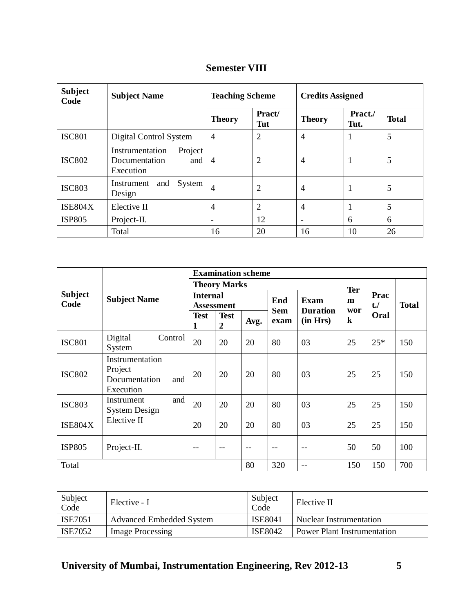| <b>Subject</b><br>Code | <b>Subject Name</b>                                             | <b>Teaching Scheme</b>   |                | <b>Credits Assigned</b> |                 |              |  |
|------------------------|-----------------------------------------------------------------|--------------------------|----------------|-------------------------|-----------------|--------------|--|
|                        |                                                                 | <b>Theory</b>            | Pract/<br>Tut  | <b>Theory</b>           | Pract./<br>Tut. | <b>Total</b> |  |
| <b>ISC801</b>          | Digital Control System                                          | $\overline{4}$           | $\overline{2}$ | $\overline{4}$          | 1               | 5            |  |
| <b>ISC802</b>          | Project<br>Instrumentation<br>Documentation<br>and<br>Execution | $\overline{4}$           | 2              | $\overline{4}$          | $\mathbf{1}$    | 5            |  |
| <b>ISC803</b>          | System<br>and<br>Instrument<br>Design                           | $\overline{4}$           | $\overline{2}$ | $\overline{4}$          | 1               | 5            |  |
| <b>ISE804X</b>         | Elective II                                                     | $\overline{4}$           | 2              | $\overline{4}$          | $\mathbf{1}$    | 5            |  |
| <b>ISP805</b>          | Project-II.                                                     | $\overline{\phantom{a}}$ | 12             | -                       | 6               | 6            |  |
|                        | Total                                                           | 16                       | 20             | 16                      | 10              | 26           |  |

| <b>Semester VIII</b> |  |
|----------------------|--|
|----------------------|--|

|                        |                                                                 | <b>Examination scheme</b>            |                     |      |                    |                             |                 |                |              |  |
|------------------------|-----------------------------------------------------------------|--------------------------------------|---------------------|------|--------------------|-----------------------------|-----------------|----------------|--------------|--|
|                        |                                                                 |                                      | <b>Theory Marks</b> |      |                    |                             |                 |                |              |  |
| <b>Subject</b><br>Code | <b>Subject Name</b>                                             | <b>Internal</b><br><b>Assessment</b> |                     |      | End                | <b>Exam</b>                 | <b>Ter</b><br>m | Prac<br>$t$ ./ | <b>Total</b> |  |
|                        |                                                                 | <b>Test</b><br>1                     | <b>Test</b><br>2    | Avg. | <b>Sem</b><br>exam | <b>Duration</b><br>(in Hrs) | wor<br>$\bf k$  | Oral           |              |  |
| <b>ISC801</b>          | Digital<br>Control<br>System                                    | 20                                   | 20                  | 20   | 80                 | 03                          | 25              | $25*$          | 150          |  |
| <b>ISC802</b>          | Instrumentation<br>Project<br>Documentation<br>and<br>Execution | 20                                   | 20                  | 20   | 80                 | 03                          | 25              | 25             | 150          |  |
| <b>ISC803</b>          | and<br>Instrument<br><b>System Design</b>                       | 20                                   | 20                  | 20   | 80                 | 03                          | 25              | 25             | 150          |  |
| <b>ISE804X</b>         | Elective II                                                     | 20                                   | 20                  | 20   | 80                 | 03                          | 25              | 25             | 150          |  |
| <b>ISP805</b>          | Project-II.                                                     | --                                   |                     | $-$  |                    |                             | 50              | 50             | 100          |  |
| Total                  |                                                                 |                                      |                     | 80   | 320                | $- -$                       | 150             | 150            | 700          |  |

| Subject<br>Code | Elective - I                    | Subject<br>Code | Elective II                 |
|-----------------|---------------------------------|-----------------|-----------------------------|
| <b>ISE7051</b>  | <b>Advanced Embedded System</b> | <b>ISE8041</b>  | Nuclear Instrumentation     |
| ISE7052         | Image Processing                | <b>ISE8042</b>  | Power Plant Instrumentation |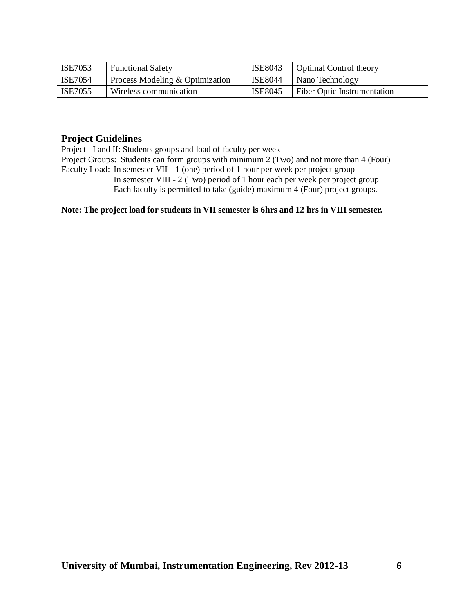| ISE7053        | <b>Functional Safety</b>        | ISE8043        | <b>Optimal Control theory</b>      |
|----------------|---------------------------------|----------------|------------------------------------|
| <b>ISE7054</b> | Process Modeling & Optimization | ISE8044        | Nano Technology                    |
| <b>ISE7055</b> | Wireless communication          | <b>ISE8045</b> | <b>Fiber Optic Instrumentation</b> |

## **Project Guidelines**

Project –I and II: Students groups and load of faculty per week

Project Groups: Students can form groups with minimum 2 (Two) and not more than 4 (Four) Faculty Load: In semester VII - 1 (one) period of 1 hour per week per project group In semester VIII - 2 (Two) period of 1 hour each per week per project group Each faculty is permitted to take (guide) maximum 4 (Four) project groups.

## **Note: The project load for students in VII semester is 6hrs and 12 hrs in VIII semester.**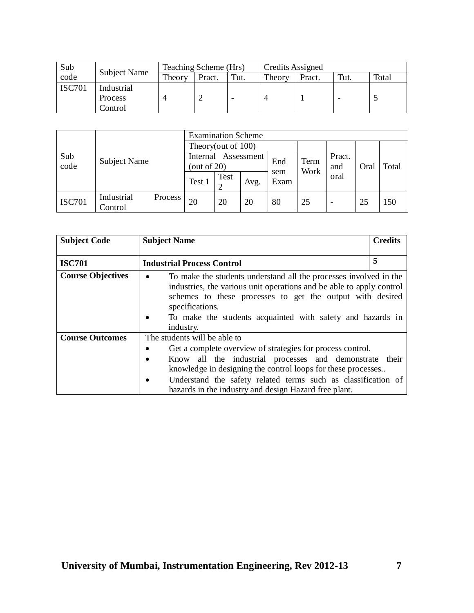| Sub           |                     | Teaching Scheme (Hrs) |        |      | Credits Assigned |        |      |       |
|---------------|---------------------|-----------------------|--------|------|------------------|--------|------|-------|
| code          | <b>Subject Name</b> | Theory                | Pract. | Tut. | Theory           | Pract. | Tut. | Total |
| <b>ISC701</b> | Industrial          |                       |        |      |                  |        |      |       |
|               | <b>Process</b>      |                       |        |      |                  |        |      |       |
|               | Control             |                       |        |      |                  |        |      |       |

| Sub<br>code   |                       | <b>Examination Scheme</b>                |                    |      |                     |    |               |      |       |     |
|---------------|-----------------------|------------------------------------------|--------------------|------|---------------------|----|---------------|------|-------|-----|
|               |                       |                                          | Theory(out of 100) |      |                     |    |               |      |       |     |
|               | <b>Subject Name</b>   | Assessment<br>Internal<br>(out of $20$ ) |                    |      | End<br>Term<br>Work |    | Pract.<br>and | Oral | Total |     |
|               |                       | Test 1                                   | Test               | Avg. | sem<br>Exam         |    | oral          |      |       |     |
| <b>ISC701</b> | Industrial<br>Control | Process                                  | 20                 | 20   | 20                  | 80 | 25            | -    | 25    | 150 |

| <b>Subject Code</b>      | <b>Subject Name</b>                                                                                                                                                                                                                                                                                       | <b>Credits</b> |
|--------------------------|-----------------------------------------------------------------------------------------------------------------------------------------------------------------------------------------------------------------------------------------------------------------------------------------------------------|----------------|
| <b>ISC701</b>            | <b>Industrial Process Control</b>                                                                                                                                                                                                                                                                         | 5              |
| <b>Course Objectives</b> | To make the students understand all the processes involved in the<br>٠<br>industries, the various unit operations and be able to apply control<br>schemes to these processes to get the output with desired<br>specifications.<br>To make the students acquainted with safety and hazards in<br>industry. |                |
| <b>Course Outcomes</b>   | The students will be able to                                                                                                                                                                                                                                                                              |                |
|                          | Get a complete overview of strategies for process control.                                                                                                                                                                                                                                                |                |
|                          | Know all the industrial processes and demonstrate<br>$\bullet$<br>knowledge in designing the control loops for these processes<br>Understand the safety related terms such as classification of<br>$\bullet$<br>hazards in the industry and design Hazard free plant.                                     | their          |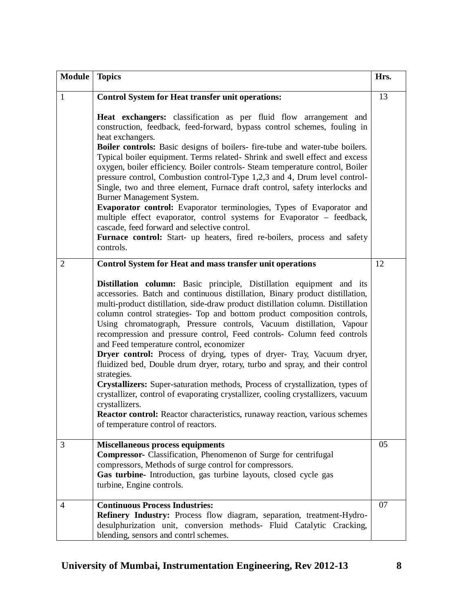| <b>Module</b>  | <b>Topics</b>                                                                                                                                                                                                                                                                                                                                                                                                                                                                                                                                                                                                                                                                                                                                                                                                                                                                                                                                                                                                | Hrs. |
|----------------|--------------------------------------------------------------------------------------------------------------------------------------------------------------------------------------------------------------------------------------------------------------------------------------------------------------------------------------------------------------------------------------------------------------------------------------------------------------------------------------------------------------------------------------------------------------------------------------------------------------------------------------------------------------------------------------------------------------------------------------------------------------------------------------------------------------------------------------------------------------------------------------------------------------------------------------------------------------------------------------------------------------|------|
| 1              | <b>Control System for Heat transfer unit operations:</b>                                                                                                                                                                                                                                                                                                                                                                                                                                                                                                                                                                                                                                                                                                                                                                                                                                                                                                                                                     | 13   |
|                | Heat exchangers: classification as per fluid flow arrangement and<br>construction, feedback, feed-forward, bypass control schemes, fouling in<br>heat exchangers.<br>Boiler controls: Basic designs of boilers-fire-tube and water-tube boilers.<br>Typical boiler equipment. Terms related- Shrink and swell effect and excess<br>oxygen, boiler efficiency. Boiler controls- Steam temperature control, Boiler<br>pressure control, Combustion control-Type 1,2,3 and 4, Drum level control-<br>Single, two and three element, Furnace draft control, safety interlocks and<br>Burner Management System.<br>Evaporator control: Evaporator terminologies, Types of Evaporator and<br>multiple effect evaporator, control systems for Evaporator - feedback,<br>cascade, feed forward and selective control.<br>Furnace control: Start- up heaters, fired re-boilers, process and safety<br>controls.                                                                                                       |      |
| $\overline{2}$ | <b>Control System for Heat and mass transfer unit operations</b>                                                                                                                                                                                                                                                                                                                                                                                                                                                                                                                                                                                                                                                                                                                                                                                                                                                                                                                                             | 12   |
|                | Distillation column: Basic principle, Distillation equipment and its<br>accessories. Batch and continuous distillation, Binary product distillation,<br>multi-product distillation, side-draw product distillation column. Distillation<br>column control strategies- Top and bottom product composition controls,<br>Using chromatograph, Pressure controls, Vacuum distillation, Vapour<br>recompression and pressure control, Feed controls- Column feed controls<br>and Feed temperature control, economizer<br>Dryer control: Process of drying, types of dryer- Tray, Vacuum dryer,<br>fluidized bed, Double drum dryer, rotary, turbo and spray, and their control<br>strategies.<br>Crystallizers: Super-saturation methods, Process of crystallization, types of<br>crystallizer, control of evaporating crystallizer, cooling crystallizers, vacuum<br>crystallizers.<br><b>Reactor control:</b> Reactor characteristics, runaway reaction, various schemes<br>of temperature control of reactors. |      |
| 3              | <b>Miscellaneous process equipments</b><br>Compressor- Classification, Phenomenon of Surge for centrifugal<br>compressors, Methods of surge control for compressors.<br>Gas turbine- Introduction, gas turbine layouts, closed cycle gas<br>turbine, Engine controls.                                                                                                                                                                                                                                                                                                                                                                                                                                                                                                                                                                                                                                                                                                                                        | 05   |
| 4              | <b>Continuous Process Industries:</b><br>Refinery Industry: Process flow diagram, separation, treatment-Hydro-<br>desulphurization unit, conversion methods- Fluid Catalytic Cracking,<br>blending, sensors and contrl schemes.                                                                                                                                                                                                                                                                                                                                                                                                                                                                                                                                                                                                                                                                                                                                                                              | 07   |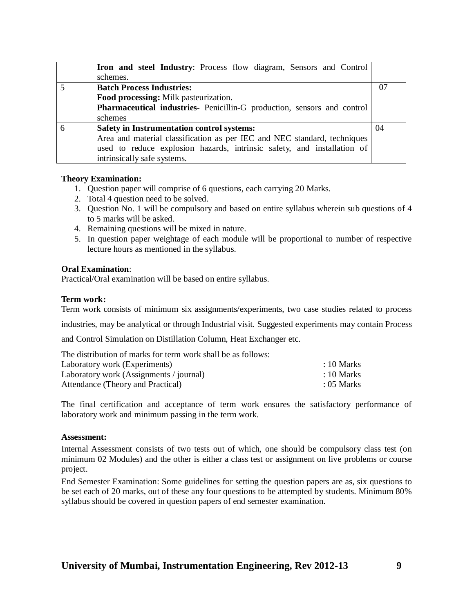| <b>Iron and steel Industry:</b> Process flow diagram, Sensors and Control |    |
|---------------------------------------------------------------------------|----|
| schemes.                                                                  |    |
| <b>Batch Process Industries:</b>                                          | 07 |
| Food processing: Milk pasteurization.                                     |    |
| Pharmaceutical industries- Penicillin-G production, sensors and control   |    |
| schemes                                                                   |    |
| Safety in Instrumentation control systems:                                | 04 |
| Area and material classification as per IEC and NEC standard, techniques  |    |
| used to reduce explosion hazards, intrinsic safety, and installation of   |    |
| intrinsically safe systems.                                               |    |

## **Theory Examination:**

- 1. Question paper will comprise of 6 questions, each carrying 20 Marks.
- 2. Total 4 question need to be solved.
- 3. Question No. 1 will be compulsory and based on entire syllabus wherein sub questions of 4 to 5 marks will be asked.
- 4. Remaining questions will be mixed in nature.
- 5. In question paper weightage of each module will be proportional to number of respective lecture hours as mentioned in the syllabus.

## **Oral Examination**:

Practical/Oral examination will be based on entire syllabus.

## **Term work:**

Term work consists of minimum six assignments/experiments, two case studies related to process

industries, may be analytical or through Industrial visit. Suggested experiments may contain Process

and Control Simulation on Distillation Column, Heat Exchanger etc.

| The distribution of marks for term work shall be as follows: |                       |
|--------------------------------------------------------------|-----------------------|
| Laboratory work (Experiments)                                | $\therefore$ 10 Marks |
| Laboratory work (Assignments / journal)                      | $\therefore$ 10 Marks |
| Attendance (Theory and Practical)                            | $\therefore$ 05 Marks |

The final certification and acceptance of term work ensures the satisfactory performance of laboratory work and minimum passing in the term work.

## **Assessment:**

Internal Assessment consists of two tests out of which, one should be compulsory class test (on minimum 02 Modules) and the other is either a class test or assignment on live problems or course project.

End Semester Examination: Some guidelines for setting the question papers are as, six questions to be set each of 20 marks, out of these any four questions to be attempted by students. Minimum 80% syllabus should be covered in question papers of end semester examination.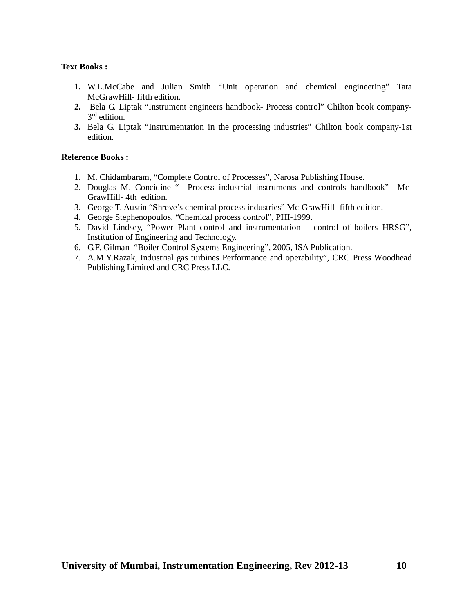## **Text Books :**

- **1.** W.L.McCabe and Julian Smith "Unit operation and chemical engineering" Tata McGrawHill- fifth edition.
- **2.** Bela G. Liptak "Instrument engineers handbook- Process control" Chilton book company-3<sup>rd</sup> edition.
- **3.** Bela G. Liptak "Instrumentation in the processing industries" Chilton book company-1st edition.

- 1. M. Chidambaram, "Complete Control of Processes", Narosa Publishing House.
- 2. Douglas M. Concidine " Process industrial instruments and controls handbook" Mc-GrawHill- 4th edition.
- 3. George T. Austin "Shreve's chemical process industries" Mc-GrawHill- fifth edition.
- 4. George Stephenopoulos, "Chemical process control", PHI-1999.
- 5. David Lindsey, "Power Plant control and instrumentation control of boilers HRSG", Institution of Engineering and Technology.
- 6. G.F. Gilman "Boiler Control Systems Engineering", 2005, ISA Publication.
- 7. A.M.Y.Razak, Industrial gas turbines Performance and operability", CRC Press Woodhead Publishing Limited and CRC Press LLC.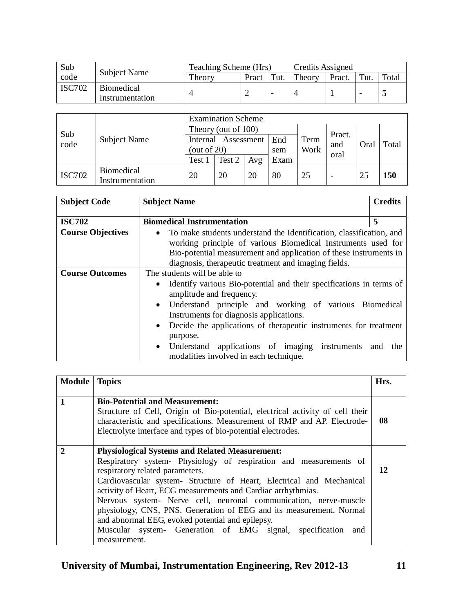| Sub           |                                      | Teaching Scheme (Hrs)<br>Credits Assigned |       |      |        |        |      |       |
|---------------|--------------------------------------|-------------------------------------------|-------|------|--------|--------|------|-------|
| code          | Subject Name                         | Theory                                    | Pract | Tut. | Theory | Pract. | Tut. | Total |
| <b>ISC702</b> | <b>Biomedical</b><br>Instrumentation |                                           |       |      |        |        |      |       |

|               | Subject Name      | <b>Examination Scheme</b> |        |     |      |      |                       |      |            |
|---------------|-------------------|---------------------------|--------|-----|------|------|-----------------------|------|------------|
| Sub           |                   | Theory (out of 100)       |        |     |      |      |                       |      |            |
| code          |                   | Assessment<br>Internal    |        |     | End  | Term | Pract.<br>and<br>oral | Oral | Total      |
|               |                   | (out of $20$ )            |        |     | sem  | Work |                       |      |            |
|               |                   | Test 1                    | Test 2 | Avg | Exam |      |                       |      |            |
| <b>ISC702</b> | <b>Biomedical</b> | 20                        | 20     | 20  | 80   | 25   | -                     | 25   | <b>150</b> |
|               | Instrumentation   |                           |        |     |      |      |                       |      |            |

| <b>Subject Code</b>      | <b>Subject Name</b>                                                                                                                                                                                                                                                                                                                                                                                                                                                       | <b>Credits</b> |
|--------------------------|---------------------------------------------------------------------------------------------------------------------------------------------------------------------------------------------------------------------------------------------------------------------------------------------------------------------------------------------------------------------------------------------------------------------------------------------------------------------------|----------------|
| <b>ISC702</b>            | <b>Biomedical Instrumentation</b>                                                                                                                                                                                                                                                                                                                                                                                                                                         | 5              |
| <b>Course Objectives</b> | To make students understand the Identification, classification, and<br>$\bullet$<br>working principle of various Biomedical Instruments used for<br>Bio-potential measurement and application of these instruments in<br>diagnosis, therapeutic treatment and imaging fields.                                                                                                                                                                                             |                |
| <b>Course Outcomes</b>   | The students will be able to<br>Identify various Bio-potential and their specifications in terms of<br>$\bullet$<br>amplitude and frequency.<br>Understand principle and working of various Biomedical<br>$\bullet$<br>Instruments for diagnosis applications.<br>Decide the applications of the rapeutic instruments for treatment<br>$\bullet$<br>purpose.<br>Understand applications of imaging instruments and<br>$\bullet$<br>modalities involved in each technique. | the            |

| <b>Module</b>   Topics |                                                                                                                                                                                                                                                                                                                                                                                                                                                                                                                                                                                         | Hrs. |
|------------------------|-----------------------------------------------------------------------------------------------------------------------------------------------------------------------------------------------------------------------------------------------------------------------------------------------------------------------------------------------------------------------------------------------------------------------------------------------------------------------------------------------------------------------------------------------------------------------------------------|------|
|                        |                                                                                                                                                                                                                                                                                                                                                                                                                                                                                                                                                                                         |      |
| 1                      | <b>Bio-Potential and Measurement:</b><br>Structure of Cell, Origin of Bio-potential, electrical activity of cell their<br>characteristic and specifications. Measurement of RMP and AP. Electrode-<br>Electrolyte interface and types of bio-potential electrodes.                                                                                                                                                                                                                                                                                                                      | 08   |
| 2                      | <b>Physiological Systems and Related Measurement:</b><br>Respiratory system- Physiology of respiration and measurements of<br>respiratory related parameters.<br>Cardiovascular system- Structure of Heart, Electrical and Mechanical<br>activity of Heart, ECG measurements and Cardiac arrhythmias.<br>Nervous system- Nerve cell, neuronal communication, nerve-muscle<br>physiology, CNS, PNS. Generation of EEG and its measurement. Normal<br>and abnormal EEG, evoked potential and epilepsy.<br>Muscular system- Generation of EMG signal, specification<br>and<br>measurement. | 12   |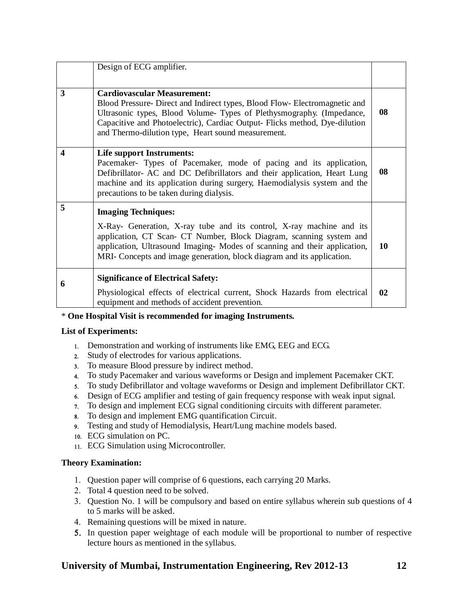|                         | Design of ECG amplifier.                                                                                                                                                                                                                                                                                                      |    |
|-------------------------|-------------------------------------------------------------------------------------------------------------------------------------------------------------------------------------------------------------------------------------------------------------------------------------------------------------------------------|----|
| 3                       | <b>Cardiovascular Measurement:</b><br>Blood Pressure- Direct and Indirect types, Blood Flow- Electromagnetic and<br>Ultrasonic types, Blood Volume- Types of Plethysmography. (Impedance,<br>Capacitive and Photoelectric), Cardiac Output- Flicks method, Dye-dilution<br>and Thermo-dilution type, Heart sound measurement. | 08 |
| $\overline{\mathbf{4}}$ | <b>Life support Instruments:</b><br>Pacemaker- Types of Pacemaker, mode of pacing and its application,<br>Defibrillator- AC and DC Defibrillators and their application, Heart Lung<br>machine and its application during surgery, Haemodialysis system and the<br>precautions to be taken during dialysis.                   | 08 |
| 5                       | <b>Imaging Techniques:</b>                                                                                                                                                                                                                                                                                                    |    |
|                         | X-Ray- Generation, X-ray tube and its control, X-ray machine and its<br>application, CT Scan- CT Number, Block Diagram, scanning system and<br>application, Ultrasound Imaging- Modes of scanning and their application,<br>MRI- Concepts and image generation, block diagram and its application.                            | 10 |
| 6                       | <b>Significance of Electrical Safety:</b>                                                                                                                                                                                                                                                                                     |    |
|                         | Physiological effects of electrical current, Shock Hazards from electrical<br>equipment and methods of accident prevention.                                                                                                                                                                                                   | 02 |

## \* **One Hospital Visit is recommended for imaging Instruments.**

## **List of Experiments:**

- Demonstration and working of instruments like EMG, EEG and ECG.
- Study of electrodes for various applications.
- To measure Blood pressure by indirect method.
- To study Pacemaker and various waveforms or Design and implement Pacemaker CKT.
- To study Defibrillator and voltage waveforms or Design and implement Defibrillator CKT.
- Design of ECG amplifier and testing of gain frequency response with weak input signal.
- To design and implement ECG signal conditioning circuits with different parameter.
- To design and implement EMG quantification Circuit.
- Testing and study of Hemodialysis, Heart/Lung machine models based.
- ECG simulation on PC.
- ECG Simulation using Microcontroller.

## **Theory Examination:**

- Question paper will comprise of 6 questions, each carrying 20 Marks.
- 2. Total 4 question need to be solved.
- 3. Question No. 1 will be compulsory and based on entire syllabus wherein sub questions of 4 to 5 marks will be asked.
- 4. Remaining questions will be mixed in nature.
- 5. In question paper weightage of each module will be proportional to number of respective lecture hours as mentioned in the syllabus.

## **University of Mumbai, Instrumentation Engineering, Rev 2012-13 12**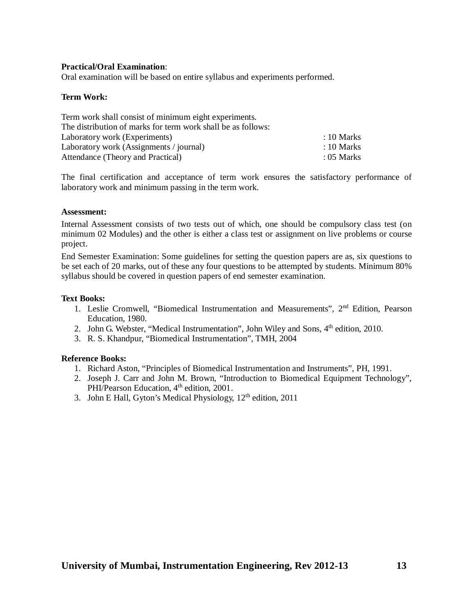## **Practical/Oral Examination**:

Oral examination will be based on entire syllabus and experiments performed.

## **Term Work:**

| Term work shall consist of minimum eight experiments.        |                       |
|--------------------------------------------------------------|-----------------------|
| The distribution of marks for term work shall be as follows: |                       |
| Laboratory work (Experiments)                                | $\therefore$ 10 Marks |
| Laboratory work (Assignments / journal)                      | $\therefore$ 10 Marks |
| Attendance (Theory and Practical)                            | $: 05$ Marks          |

The final certification and acceptance of term work ensures the satisfactory performance of laboratory work and minimum passing in the term work.

## **Assessment:**

Internal Assessment consists of two tests out of which, one should be compulsory class test (on minimum 02 Modules) and the other is either a class test or assignment on live problems or course project.

End Semester Examination: Some guidelines for setting the question papers are as, six questions to be set each of 20 marks, out of these any four questions to be attempted by students. Minimum 80% syllabus should be covered in question papers of end semester examination.

## **Text Books:**

- 1. Leslie Cromwell, "Biomedical Instrumentation and Measurements", 2<sup>nd</sup> Edition, Pearson Education, 1980.
- 2. John G. Webster, "Medical Instrumentation", John Wiley and Sons, 4<sup>th</sup> edition, 2010.
- 3. R. S. Khandpur, "Biomedical Instrumentation", TMH, 2004

- 1. Richard Aston, "Principles of Biomedical Instrumentation and Instruments", PH, 1991.
- 2. Joseph J. Carr and John M. Brown, "Introduction to Biomedical Equipment Technology", PHI/Pearson Education, 4<sup>th</sup> edition, 2001.
- 3. John E Hall, Gyton's Medical Physiology, 12<sup>th</sup> edition, 2011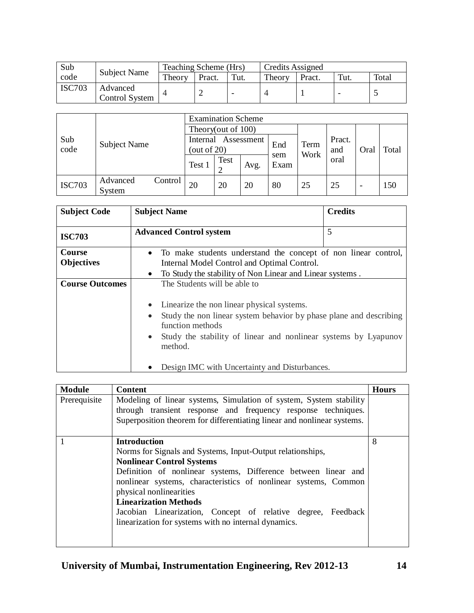| Sub           |                                   | Teaching Scheme (Hrs) |        |      | <b>Credits Assigned</b> |        |      |       |
|---------------|-----------------------------------|-----------------------|--------|------|-------------------------|--------|------|-------|
| code          | <b>Subject Name</b>               | Theory                | Pract. | Tut. | Theory                  | Pract. | Tut. | Total |
| <b>ISC703</b> | Advanced<br><b>Control System</b> |                       |        |      |                         |        |      |       |

|               |                    |         | <b>Examination Scheme</b>                |      |      |             |              |               |                          |       |
|---------------|--------------------|---------|------------------------------------------|------|------|-------------|--------------|---------------|--------------------------|-------|
|               | Subject Name       |         | Theory(out of 100)                       |      |      |             |              |               |                          |       |
| Sub<br>code   |                    |         | Assessment<br>Internal<br>(out of $20$ ) |      |      | End         | Term<br>Work | Pract.<br>and | Oral                     | Total |
|               |                    |         | Test 1                                   | Test | Avg. | sem<br>Exam |              | oral          |                          |       |
| <b>ISC703</b> | Advanced<br>System | Control | 20                                       | 20   | 20   | 80          | 25           | 25            | $\overline{\phantom{0}}$ | 150   |

| <b>Subject Code</b>    | <b>Subject Name</b>                                                                                 | <b>Credits</b> |
|------------------------|-----------------------------------------------------------------------------------------------------|----------------|
| <b>ISC703</b>          | <b>Advanced Control system</b>                                                                      | 5              |
| Course                 | To make students understand the concept of non-linear control,                                      |                |
| <b>Objectives</b>      | Internal Model Control and Optimal Control.                                                         |                |
|                        | To Study the stability of Non Linear and Linear systems.<br>$\bullet$                               |                |
| <b>Course Outcomes</b> | The Students will be able to                                                                        |                |
|                        | Linearize the non linear physical systems.                                                          |                |
|                        | Study the non-linear system behavior by phase plane and describing<br>$\bullet$<br>function methods |                |
|                        | Study the stability of linear and nonlinear systems by Lyapunov<br>$\bullet$<br>method.             |                |
|                        | Design IMC with Uncertainty and Disturbances.                                                       |                |

| <b>Module</b> | <b>Content</b>                                                                                                                                                                                                                                                                                                                                                                                                                                | <b>Hours</b> |
|---------------|-----------------------------------------------------------------------------------------------------------------------------------------------------------------------------------------------------------------------------------------------------------------------------------------------------------------------------------------------------------------------------------------------------------------------------------------------|--------------|
| Prerequisite  | Modeling of linear systems, Simulation of system, System stability<br>through transient response and frequency response techniques.<br>Superposition theorem for differentiating linear and nonlinear systems.                                                                                                                                                                                                                                |              |
|               | <b>Introduction</b><br>Norms for Signals and Systems, Input-Output relationships,<br><b>Nonlinear Control Systems</b><br>Definition of nonlinear systems, Difference between linear and<br>nonlinear systems, characteristics of nonlinear systems, Common<br>physical nonlinearities<br><b>Linearization Methods</b><br>Jacobian Linearization, Concept of relative degree, Feedback<br>linearization for systems with no internal dynamics. | 8            |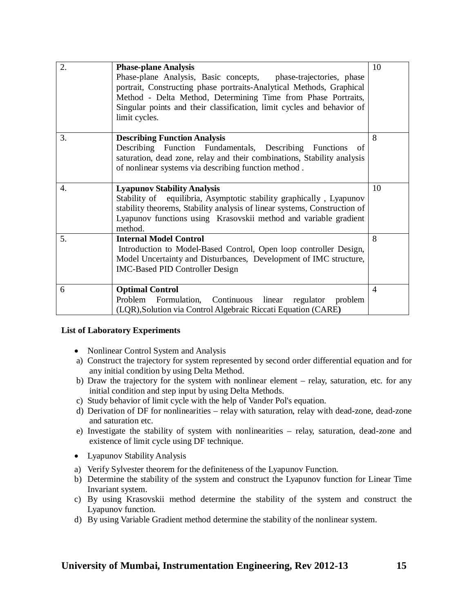| 2. | <b>Phase-plane Analysis</b><br>Phase-plane Analysis, Basic concepts, phase-trajectories, phase<br>portrait, Constructing phase portraits-Analytical Methods, Graphical<br>Method - Delta Method, Determining Time from Phase Portraits,<br>Singular points and their classification, limit cycles and behavior of<br>limit cycles. | 10             |
|----|------------------------------------------------------------------------------------------------------------------------------------------------------------------------------------------------------------------------------------------------------------------------------------------------------------------------------------|----------------|
| 3. | <b>Describing Function Analysis</b><br>Describing Function Fundamentals, Describing Functions<br>- of<br>saturation, dead zone, relay and their combinations, Stability analysis<br>of nonlinear systems via describing function method.                                                                                           | 8              |
| 4. | <b>Lyapunov Stability Analysis</b><br>Stability of equilibria, Asymptotic stability graphically, Lyapunov<br>stability theorems, Stability analysis of linear systems, Construction of<br>Lyapunov functions using Krasovskii method and variable gradient<br>method.                                                              | 10             |
| 5. | <b>Internal Model Control</b><br>Introduction to Model-Based Control, Open loop controller Design,<br>Model Uncertainty and Disturbances, Development of IMC structure,<br><b>IMC-Based PID Controller Design</b>                                                                                                                  | 8              |
| 6  | <b>Optimal Control</b><br>Continuous<br>Problem<br>Formulation,<br>linear<br>regulator<br>problem<br>(LQR), Solution via Control Algebraic Riccati Equation (CARE)                                                                                                                                                                 | $\overline{4}$ |

## **List of Laboratory Experiments**

- Nonlinear Control System and Analysis
- a) Construct the trajectory for system represented by second order differential equation and for any initial condition by using Delta Method.
- b) Draw the trajectory for the system with nonlinear element relay, saturation, etc. for any initial condition and step input by using Delta Methods.
- c) Study behavior of limit cycle with the help of Vander Pol's equation.
- d) Derivation of DF for nonlinearities relay with saturation, relay with dead-zone, dead-zone and saturation etc.
- e) Investigate the stability of system with nonlinearities relay, saturation, dead-zone and existence of limit cycle using DF technique.
- Lyapunov Stability Analysis
- a) Verify Sylvester theorem for the definiteness of the Lyapunov Function.
- b) Determine the stability of the system and construct the Lyapunov function for Linear Time Invariant system.
- c) By using Krasovskii method determine the stability of the system and construct the Lyapunov function.
- d) By using Variable Gradient method determine the stability of the nonlinear system.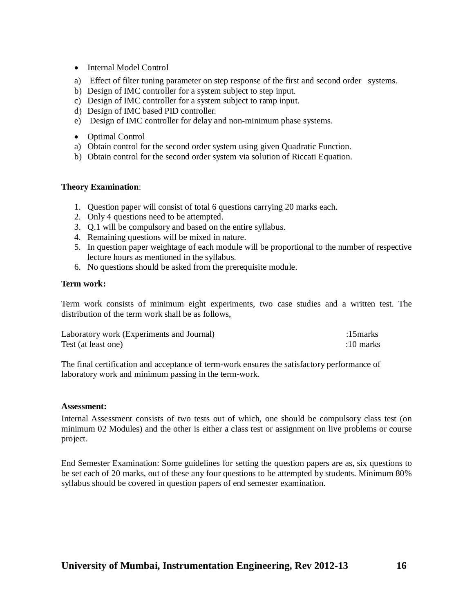- Internal Model Control
- a) Effect of filter tuning parameter on step response of the first and second order systems.
- b) Design of IMC controller for a system subject to step input.
- c) Design of IMC controller for a system subject to ramp input.
- d) Design of IMC based PID controller.
- e) Design of IMC controller for delay and non-minimum phase systems.
- Optimal Control
- a) Obtain control for the second order system using given Quadratic Function.
- b) Obtain control for the second order system via solution of Riccati Equation.

## **Theory Examination**:

- 1. Question paper will consist of total 6 questions carrying 20 marks each.
- 2. Only 4 questions need to be attempted.
- 3. Q.1 will be compulsory and based on the entire syllabus.
- 4. Remaining questions will be mixed in nature.
- 5. In question paper weightage of each module will be proportional to the number of respective lecture hours as mentioned in the syllabus.
- 6. No questions should be asked from the prerequisite module.

## **Term work:**

Term work consists of minimum eight experiments, two case studies and a written test. The distribution of the term work shall be as follows,

| Laboratory work (Experiments and Journal) | :15 $marks$ |
|-------------------------------------------|-------------|
| Test (at least one)                       | $:10$ marks |

The final certification and acceptance of term-work ensures the satisfactory performance of laboratory work and minimum passing in the term-work.

## **Assessment:**

Internal Assessment consists of two tests out of which, one should be compulsory class test (on minimum 02 Modules) and the other is either a class test or assignment on live problems or course project.

End Semester Examination: Some guidelines for setting the question papers are as, six questions to be set each of 20 marks, out of these any four questions to be attempted by students. Minimum 80% syllabus should be covered in question papers of end semester examination.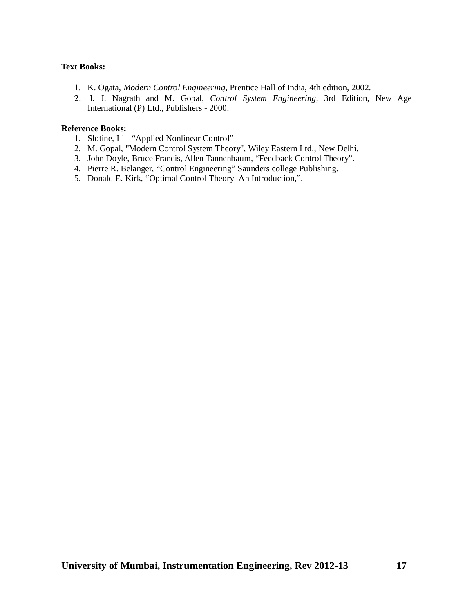## **Text Books:**

- K. Ogata, *Modern Control Engineering,* Prentice Hall of India, 4th edition, 2002.
- I. J. Nagrath and M. Gopal, *Control System Engineering,* 3rd Edition, New Age International (P) Ltd., Publishers - 2000.

- 1. Slotine, Li "Applied Nonlinear Control"
- 2. M. Gopal, "Modern Control System Theory", Wiley Eastern Ltd., New Delhi.
- 3. John Doyle, Bruce Francis, Allen Tannenbaum, "Feedback Control Theory".
- 4. Pierre R. Belanger, "Control Engineering" Saunders college Publishing.
- 5. Donald E. Kirk, "Optimal Control Theory- An Introduction,".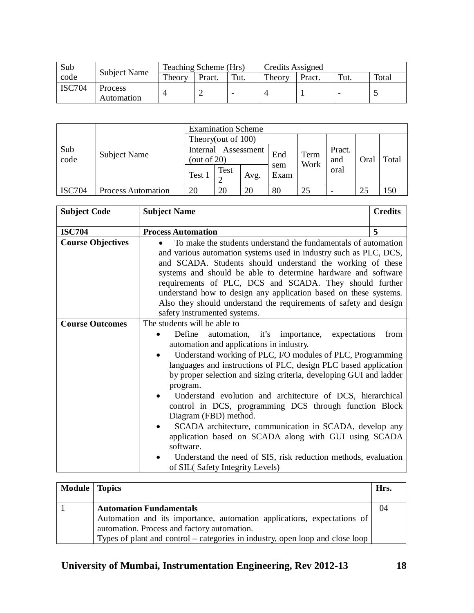| Sub           |                              | Teaching Scheme (Hrs) |        |      | Credits Assigned |        |                          |       |
|---------------|------------------------------|-----------------------|--------|------|------------------|--------|--------------------------|-------|
| code          | <b>Subject Name</b>          | Theory                | Pract. | Tut. | Theory           | Pract. | Tut.                     | Total |
| <b>ISC704</b> | <b>Process</b><br>Automation |                       |        |      |                  |        | $\overline{\phantom{0}}$ |       |

|               |                           | <b>Examination Scheme</b> |      |            |             |      |        |      |       |
|---------------|---------------------------|---------------------------|------|------------|-------------|------|--------|------|-------|
|               |                           | Theory(out of 100)        |      |            |             |      |        |      |       |
| Sub           | <b>Subject Name</b>       | Internal                  |      | Assessment | End         | Term | Pract. |      |       |
| code          |                           | (out of $20$ )            |      |            |             | Work | and    | Oral | Total |
|               |                           | Test 1                    | Test | Avg.       | sem<br>Exam |      | oral   |      |       |
|               |                           |                           |      |            |             |      |        |      |       |
| <b>ISC704</b> | <b>Process Automation</b> | 20                        | 20   | 20         | 80          | 25   |        | 25   | .50   |

| <b>Subject Code</b>      | <b>Subject Name</b>                                                                                                                                                                                                                                                                                                                                                                                                                                                                                                                                                                                                                                                                                                                          | <b>Credits</b> |
|--------------------------|----------------------------------------------------------------------------------------------------------------------------------------------------------------------------------------------------------------------------------------------------------------------------------------------------------------------------------------------------------------------------------------------------------------------------------------------------------------------------------------------------------------------------------------------------------------------------------------------------------------------------------------------------------------------------------------------------------------------------------------------|----------------|
| <b>ISC704</b>            | <b>Process Automation</b>                                                                                                                                                                                                                                                                                                                                                                                                                                                                                                                                                                                                                                                                                                                    | 5              |
| <b>Course Objectives</b> | To make the students understand the fundamentals of automation<br>$\bullet$<br>and various automation systems used in industry such as PLC, DCS,<br>and SCADA. Students should understand the working of these<br>systems and should be able to determine hardware and software<br>requirements of PLC, DCS and SCADA. They should further<br>understand how to design any application based on these systems.<br>Also they should understand the requirements of safety and design<br>safety instrumented systems.                                                                                                                                                                                                                          |                |
| <b>Course Outcomes</b>   | The students will be able to<br>Define<br>automation, it's importance,<br>expectations<br>automation and applications in industry.<br>Understand working of PLC, I/O modules of PLC, Programming<br>languages and instructions of PLC, design PLC based application<br>by proper selection and sizing criteria, developing GUI and ladder<br>program.<br>Understand evolution and architecture of DCS, hierarchical<br>control in DCS, programming DCS through function Block<br>Diagram (FBD) method.<br>SCADA architecture, communication in SCADA, develop any<br>application based on SCADA along with GUI using SCADA<br>software.<br>Understand the need of SIS, risk reduction methods, evaluation<br>of SIL(Safety Integrity Levels) | from           |

| <b>Module</b>   Topics |                                                                                                                                                                                                                                           | Hrs. |
|------------------------|-------------------------------------------------------------------------------------------------------------------------------------------------------------------------------------------------------------------------------------------|------|
|                        | <b>Automation Fundamentals</b><br>Automation and its importance, automation applications, expectations of<br>automation. Process and factory automation.<br>Types of plant and control – categories in industry, open loop and close loop | 04   |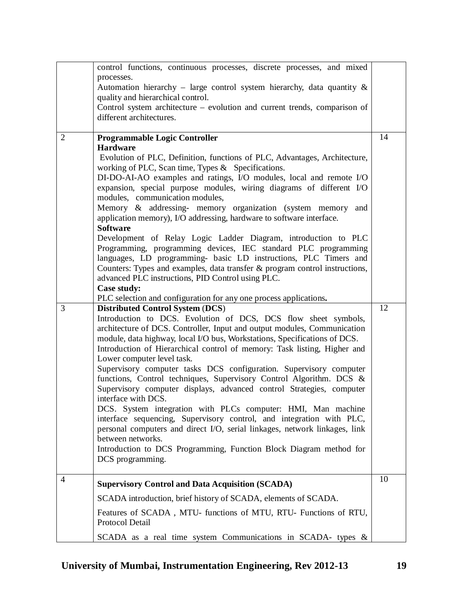|                | control functions, continuous processes, discrete processes, and mixed                                                                             |    |
|----------------|----------------------------------------------------------------------------------------------------------------------------------------------------|----|
|                | processes.                                                                                                                                         |    |
|                | Automation hierarchy - large control system hierarchy, data quantity $\&$                                                                          |    |
|                | quality and hierarchical control.                                                                                                                  |    |
|                | Control system architecture – evolution and current trends, comparison of                                                                          |    |
|                | different architectures.                                                                                                                           |    |
| $\overline{2}$ | <b>Programmable Logic Controller</b>                                                                                                               | 14 |
|                | <b>Hardware</b>                                                                                                                                    |    |
|                | Evolution of PLC, Definition, functions of PLC, Advantages, Architecture,                                                                          |    |
|                | working of PLC, Scan time, Types & Specifications.                                                                                                 |    |
|                | DI-DO-AI-AO examples and ratings, I/O modules, local and remote I/O                                                                                |    |
|                | expansion, special purpose modules, wiring diagrams of different I/O                                                                               |    |
|                | modules, communication modules,                                                                                                                    |    |
|                | Memory & addressing- memory organization (system memory<br>and                                                                                     |    |
|                | application memory), I/O addressing, hardware to software interface.                                                                               |    |
|                | <b>Software</b>                                                                                                                                    |    |
|                | Development of Relay Logic Ladder Diagram, introduction to PLC                                                                                     |    |
|                | Programming, programming devices, IEC standard PLC programming                                                                                     |    |
|                | languages, LD programming- basic LD instructions, PLC Timers and                                                                                   |    |
|                | Counters: Types and examples, data transfer $\&$ program control instructions,                                                                     |    |
|                | advanced PLC instructions, PID Control using PLC.<br>Case study:                                                                                   |    |
|                | PLC selection and configuration for any one process applications.                                                                                  |    |
| 3              | <b>Distributed Control System (DCS)</b>                                                                                                            | 12 |
|                | Introduction to DCS. Evolution of DCS, DCS flow sheet symbols,                                                                                     |    |
|                | architecture of DCS. Controller, Input and output modules, Communication                                                                           |    |
|                | module, data highway, local I/O bus, Workstations, Specifications of DCS.                                                                          |    |
|                | Introduction of Hierarchical control of memory: Task listing, Higher and                                                                           |    |
|                | Lower computer level task.                                                                                                                         |    |
|                | Supervisory computer tasks DCS configuration. Supervisory computer                                                                                 |    |
|                | functions, Control techniques, Supervisory Control Algorithm. DCS &                                                                                |    |
|                | Supervisory computer displays, advanced control Strategies, computer                                                                               |    |
|                | interface with DCS.                                                                                                                                |    |
|                | DCS. System integration with PLCs computer: HMI, Man machine                                                                                       |    |
|                | interface sequencing, Supervisory control, and integration with PLC,<br>personal computers and direct I/O, serial linkages, network linkages, link |    |
|                | between networks.                                                                                                                                  |    |
|                | Introduction to DCS Programming, Function Block Diagram method for                                                                                 |    |
|                |                                                                                                                                                    |    |
|                |                                                                                                                                                    |    |
|                | DCS programming.                                                                                                                                   |    |
| 4              | <b>Supervisory Control and Data Acquisition (SCADA)</b>                                                                                            | 10 |
|                |                                                                                                                                                    |    |
|                | SCADA introduction, brief history of SCADA, elements of SCADA.                                                                                     |    |
|                | Features of SCADA, MTU- functions of MTU, RTU- Functions of RTU,                                                                                   |    |
|                | Protocol Detail<br>SCADA as a real time system Communications in SCADA- types &                                                                    |    |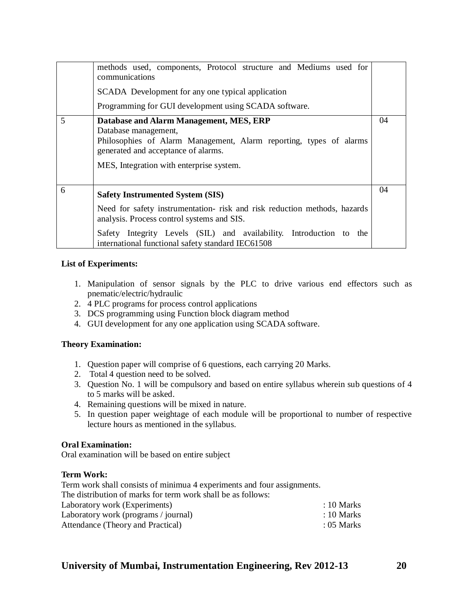|   | methods used, components, Protocol structure and Mediums used for<br>communications<br>SCADA Development for any one typical application<br>Programming for GUI development using SCADA software.                                                                                              |    |
|---|------------------------------------------------------------------------------------------------------------------------------------------------------------------------------------------------------------------------------------------------------------------------------------------------|----|
| 5 | Database and Alarm Management, MES, ERP<br>Database management,<br>Philosophies of Alarm Management, Alarm reporting, types of alarms<br>generated and acceptance of alarms.<br>MES, Integration with enterprise system.                                                                       | 04 |
| 6 | <b>Safety Instrumented System (SIS)</b><br>Need for safety instrumentation- risk and risk reduction methods, hazards<br>analysis. Process control systems and SIS.<br>Safety Integrity Levels (SIL) and availability. Introduction to the<br>international functional safety standard IEC61508 | 04 |

## **List of Experiments:**

- 1. Manipulation of sensor signals by the PLC to drive various end effectors such as pnematic/electric/hydraulic
- 2. 4 PLC programs for process control applications
- 3. DCS programming using Function block diagram method
- 4. GUI development for any one application using SCADA software.

## **Theory Examination:**

- 1. Question paper will comprise of 6 questions, each carrying 20 Marks.
- 2. Total 4 question need to be solved.
- 3. Question No. 1 will be compulsory and based on entire syllabus wherein sub questions of 4 to 5 marks will be asked.
- 4. Remaining questions will be mixed in nature.
- 5. In question paper weightage of each module will be proportional to number of respective lecture hours as mentioned in the syllabus.

## **Oral Examination:**

Oral examination will be based on entire subject

## **Term Work:**

Term work shall consists of minimua 4 experiments and four assignments.

| The distribution of marks for term work shall be as follows: |  |
|--------------------------------------------------------------|--|
|--------------------------------------------------------------|--|

| Laboratory work (Experiments)        | $: 10$ Marks          |
|--------------------------------------|-----------------------|
| Laboratory work (programs / journal) | $\therefore$ 10 Marks |
| Attendance (Theory and Practical)    | $: 05$ Marks          |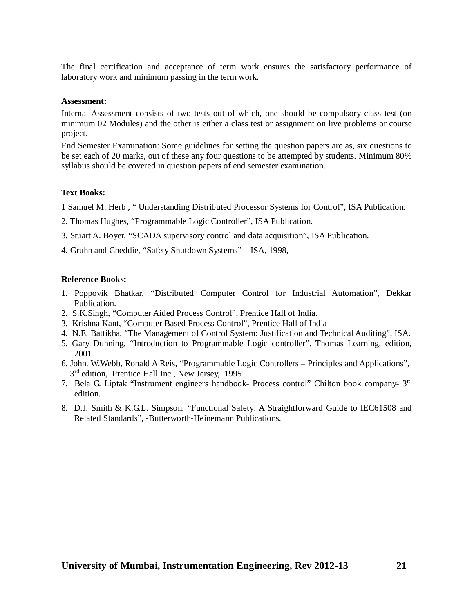The final certification and acceptance of term work ensures the satisfactory performance of laboratory work and minimum passing in the term work.

#### **Assessment:**

Internal Assessment consists of two tests out of which, one should be compulsory class test (on minimum 02 Modules) and the other is either a class test or assignment on live problems or course project.

End Semester Examination: Some guidelines for setting the question papers are as, six questions to be set each of 20 marks, out of these any four questions to be attempted by students. Minimum 80% syllabus should be covered in question papers of end semester examination.

#### **Text Books:**

1 Samuel M. Herb , " Understanding Distributed Processor Systems for Control", ISA Publication.

- 2. Thomas Hughes, "Programmable Logic Controller", ISA Publication.
- 3. Stuart A. Boyer, "SCADA supervisory control and data acquisition", ISA Publication.
- 4. Gruhn and Cheddie, "Safety Shutdown Systems" ISA, 1998,

- 1. Poppovik Bhatkar, "Distributed Computer Control for Industrial Automation", Dekkar Publication.
- 2. S.K.Singh, "Computer Aided Process Control", Prentice Hall of India.
- 3. Krishna Kant, "Computer Based Process Control", Prentice Hall of India
- 4. N.E. Battikha, "The Management of Control System: Justification and Technical Auditing", ISA.
- 5. Gary Dunning, "Introduction to Programmable Logic controller", Thomas Learning, edition, 2001.
- 6. John. W.Webb, Ronald A Reis, "Programmable Logic Controllers Principles and Applications", 3<sup>rd</sup> edition, Prentice Hall Inc., New Jersey, 1995.
- 7. Bela G. Liptak "Instrument engineers handbook- Process control" Chilton book company- 3<sup>rd</sup> edition.
- 8. D.J. Smith & K.G.L. Simpson, "Functional Safety: A Straightforward Guide to IEC61508 and Related Standards", *-*Butterworth-Heinemann Publications.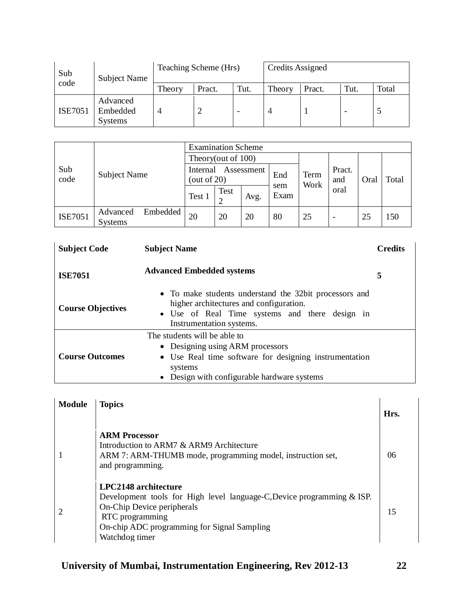| Sub            | <b>Subject Name</b>                    |        | Teaching Scheme (Hrs) |                          | Credits Assigned |        |                          |       |  |
|----------------|----------------------------------------|--------|-----------------------|--------------------------|------------------|--------|--------------------------|-------|--|
| code           |                                        | Theory | Pract.                | Tut.                     | Theory           | Pract. | Tut.                     | Total |  |
| <b>ISE7051</b> | Advanced<br>Embedded<br><b>Systems</b> | 4      | ∸                     | $\overline{\phantom{a}}$ |                  |        | $\overline{\phantom{0}}$ | J     |  |

|                |                                        | <b>Examination Scheme</b>             |      |      |                     |    |                          |      |       |
|----------------|----------------------------------------|---------------------------------------|------|------|---------------------|----|--------------------------|------|-------|
|                |                                        | Theory(out of 100)                    |      |      |                     |    |                          |      |       |
| Sub<br>code    | <b>Subject Name</b>                    | Assessment<br>Internal<br>(out of 20) |      |      | Term<br>End<br>Work |    | Pract.<br>and            | Oral | Total |
|                |                                        | Test 1                                | Test | Avg. | sem<br>Exam         |    | oral                     |      |       |
| <b>ISE7051</b> | Embedded<br>Advanced<br><b>Systems</b> | 20                                    | 20   | 20   | 80                  | 25 | $\overline{\phantom{a}}$ | 25   | 150   |

| <b>Subject Code</b>      | <b>Subject Name</b>                                                                                                                                                                  | <b>Credits</b> |
|--------------------------|--------------------------------------------------------------------------------------------------------------------------------------------------------------------------------------|----------------|
| <b>ISE7051</b>           | <b>Advanced Embedded systems</b>                                                                                                                                                     | 5              |
| <b>Course Objectives</b> | • To make students understand the 32bit processors and<br>higher architectures and configuration.<br>• Use of Real Time systems and there design in<br>Instrumentation systems.      |                |
| <b>Course Outcomes</b>   | The students will be able to<br>• Designing using ARM processors<br>• Use Real time software for designing instrumentation<br>systems<br>• Design with configurable hardware systems |                |

| <b>Module</b> | <b>Topics</b>                                                                                                                                                                                                    | Hrs. |
|---------------|------------------------------------------------------------------------------------------------------------------------------------------------------------------------------------------------------------------|------|
|               | <b>ARM Processor</b><br>Introduction to ARM7 & ARM9 Architecture<br>ARM 7: ARM-THUMB mode, programming model, instruction set,<br>and programming.                                                               | 06   |
|               | LPC2148 architecture<br>Development tools for High level language-C, Device programming & ISP.<br>On-Chip Device peripherals<br>RTC programming<br>On-chip ADC programming for Signal Sampling<br>Watchdog timer | 15   |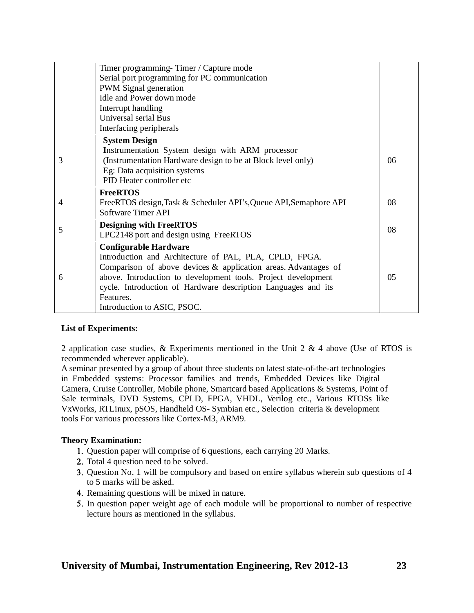|   | Timer programming-Timer / Capture mode                            |    |
|---|-------------------------------------------------------------------|----|
|   | Serial port programming for PC communication                      |    |
|   | PWM Signal generation                                             |    |
|   | Idle and Power down mode                                          |    |
|   | Interrupt handling                                                |    |
|   | Universal serial Bus                                              |    |
|   | Interfacing peripherals                                           |    |
|   | <b>System Design</b>                                              |    |
|   | Instrumentation System design with ARM processor                  |    |
| 3 | (Instrumentation Hardware design to be at Block level only)       | 06 |
|   | Eg: Data acquisition systems                                      |    |
|   | PID Heater controller etc                                         |    |
|   | <b>FreeRTOS</b>                                                   |    |
| 4 | FreeRTOS design, Task & Scheduler API's, Queue API, Semaphore API | 08 |
|   | <b>Software Timer API</b>                                         |    |
|   | <b>Designing with FreeRTOS</b>                                    |    |
| 5 | LPC2148 port and design using FreeRTOS                            | 08 |
|   | <b>Configurable Hardware</b>                                      |    |
|   | Introduction and Architecture of PAL, PLA, CPLD, FPGA.            |    |
|   | Comparison of above devices $\&$ application areas. Advantages of |    |
| 6 | above. Introduction to development tools. Project development     | 05 |
|   | cycle. Introduction of Hardware description Languages and its     |    |
|   | Features.                                                         |    |
|   | Introduction to ASIC, PSOC.                                       |    |

## **List of Experiments:**

2 application case studies,  $\&$  Experiments mentioned in the Unit 2  $\&$  4 above (Use of RTOS is recommended wherever applicable).

A seminar presented by a group of about three students on latest state-of-the-art technologies in Embedded systems: Processor families and trends, Embedded Devices like Digital Camera, Cruise Controller, Mobile phone, Smartcard based Applications & Systems, Point of Sale terminals, DVD Systems, CPLD, FPGA, VHDL, Verilog etc., Various RTOSs like VxWorks, RTLinux, pSOS, Handheld OS- Symbian etc., Selection criteria & development tools For various processors like Cortex-M3, ARM9.

## **Theory Examination:**

- 1. Question paper will comprise of 6 questions, each carrying 20 Marks.
- 2. Total 4 question need to be solved.
- 3. Question No. 1 will be compulsory and based on entire syllabus wherein sub questions of 4 to 5 marks will be asked.
- 4. Remaining questions will be mixed in nature.
- In question paper weight age of each module will be proportional to number of respective lecture hours as mentioned in the syllabus.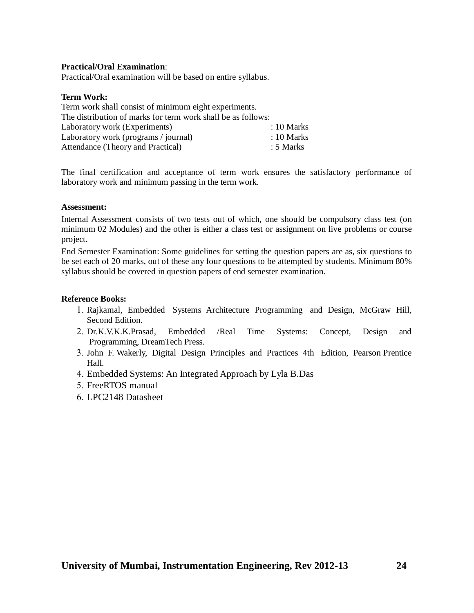## **Practical/Oral Examination**:

Practical/Oral examination will be based on entire syllabus.

#### **Term Work:**

| Term work shall consist of minimum eight experiments.        |  |                 |  |
|--------------------------------------------------------------|--|-----------------|--|
| The distribution of marks for term work shall be as follows: |  |                 |  |
| Laboratory work (Experiments)                                |  | $: 10$ Marks    |  |
| Laboratory work (programs / journal)                         |  | $\div 10$ Marks |  |
| Attendance (Theory and Practical)                            |  | : 5 Marks       |  |

The final certification and acceptance of term work ensures the satisfactory performance of laboratory work and minimum passing in the term work.

#### **Assessment:**

Internal Assessment consists of two tests out of which, one should be compulsory class test (on minimum 02 Modules) and the other is either a class test or assignment on live problems or course project.

End Semester Examination: Some guidelines for setting the question papers are as, six questions to be set each of 20 marks, out of these any four questions to be attempted by students. Minimum 80% syllabus should be covered in question papers of end semester examination.

- 1. Rajkamal, Embedded Systems Architecture Programming and Design, McGraw Hill, Second Edition.
- Dr.K.V.K.K.Prasad, Embedded /Real Time Systems: Concept, Design and Programming, DreamTech Press.
- John F. Wakerly, Digital Design Principles and Practices 4th Edition, Pearson Prentice Hall.
- Embedded Systems: An Integrated Approach by Lyla B.Das
- 5. FreeRTOS manual
- LPC2148 Datasheet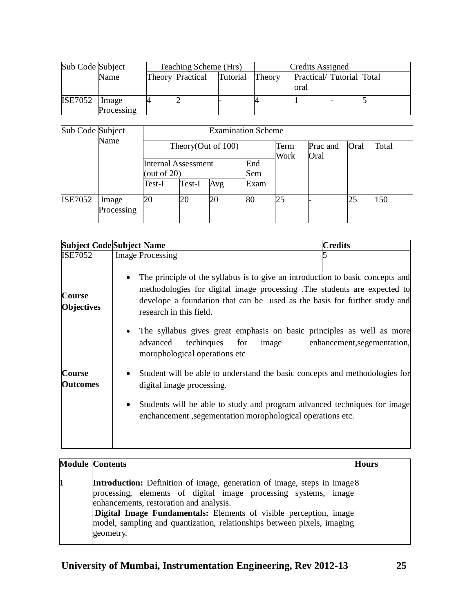| Sub Code Subject |                     | Teaching Scheme (Hrs) |                  |          |        | Credits Assigned                 |  |  |
|------------------|---------------------|-----------------------|------------------|----------|--------|----------------------------------|--|--|
|                  | Name                |                       | Theory Practical | Tutorial | Theory | Practical/Tutorial Total<br>oral |  |  |
| <b>ISE7052</b>   | Image<br>Processing |                       |                  |          |        |                                  |  |  |

| Sub Code Subject | Name                | <b>Examination Scheme</b>  |                |                       |      |              |                  |      |       |  |  |
|------------------|---------------------|----------------------------|----------------|-----------------------|------|--------------|------------------|------|-------|--|--|
|                  |                     |                            |                | Theory(Out of $100$ ) |      | Term<br>Work | Prac and<br>Oral | Oral | Total |  |  |
|                  |                     | <b>Internal Assessment</b> |                |                       | End  |              |                  |      |       |  |  |
|                  |                     |                            | (out of $20$ ) |                       |      |              |                  |      |       |  |  |
|                  |                     | Test-I                     | Test-I         | Avg                   | Exam |              |                  |      |       |  |  |
| <b>ISE7052</b>   | Image<br>Processing | 20                         | 20             | 20                    | 80   | 25           |                  | 25   | 150   |  |  |

|                                  | <b>Subject Code Subject Name</b>                                                                                                                                                                                                                                                | <b>Credits</b>              |
|----------------------------------|---------------------------------------------------------------------------------------------------------------------------------------------------------------------------------------------------------------------------------------------------------------------------------|-----------------------------|
| <b>ISE7052</b>                   | <b>Image Processing</b>                                                                                                                                                                                                                                                         |                             |
| Course<br>Objectives             | The principle of the syllabus is to give an introduction to basic concepts and<br>$\bullet$<br>methodologies for digital image processing .The students are expected to<br>develope a foundation that can be used as the basis for further study and<br>research in this field. |                             |
|                                  | The syllabus gives great emphasis on basic principles as well as more<br>advanced<br>techingues<br>for<br>image<br>morophological operations etc                                                                                                                                | enhancement, segementation, |
| <b>Course</b><br><b>Outcomes</b> | Student will be able to understand the basic concepts and methodologies for<br>$\bullet$<br>digital image processing.<br>Students will be able to study and program advanced techniques for image<br>$\bullet$<br>enchancement, segementation morophological operations etc.    |                             |

| <b>Module Contents</b>                                                                                                                                                                                                                                                                                                                                                | <b>Hours</b> |
|-----------------------------------------------------------------------------------------------------------------------------------------------------------------------------------------------------------------------------------------------------------------------------------------------------------------------------------------------------------------------|--------------|
| <b>Introduction:</b> Definition of image, generation of image, steps in image <sup>8</sup><br>processing, elements of digital image processing systems, image<br>enhancements, restoration and analysis.<br>Digital Image Fundamentals: Elements of visible perception, image<br>model, sampling and quantization, relationships between pixels, imaging<br>geometry. |              |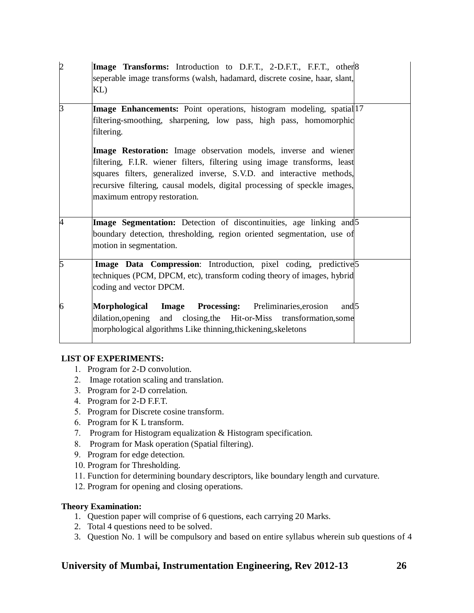| $\overline{2}$ | Image Transforms: Introduction to D.F.T., 2-D.F.T., F.F.T., other 8<br>seperable image transforms (walsh, hadamard, discrete cosine, haar, slant,<br>KL)                                                                                                                                                                           |  |
|----------------|------------------------------------------------------------------------------------------------------------------------------------------------------------------------------------------------------------------------------------------------------------------------------------------------------------------------------------|--|
| 3              | Image Enhancements: Point operations, histogram modeling, spatial 17<br>filtering-smoothing, sharpening, low pass, high pass, homomorphic<br>filtering.                                                                                                                                                                            |  |
|                | Image Restoration: Image observation models, inverse and wiener<br>filtering, F.I.R. wiener filters, filtering using image transforms, least<br>squares filters, generalized inverse, S.V.D. and interactive methods,<br>recursive filtering, causal models, digital processing of speckle images,<br>maximum entropy restoration. |  |
| 4              | Image Segmentation: Detection of discontinuities, age linking and 5<br>boundary detection, thresholding, region oriented segmentation, use of<br>motion in segmentation.                                                                                                                                                           |  |
| 5              | Image Data Compression: Introduction, pixel coding, predictive 5<br>techniques (PCM, DPCM, etc), transform coding theory of images, hybrid<br>coding and vector DPCM.                                                                                                                                                              |  |
| 6              | Image Processing: Preliminaries, erosion<br>Morphological<br>and 5<br>dilation, opening and closing, the Hit-or-Miss transformation, some<br>morphological algorithms Like thinning, thickening, skeletons                                                                                                                         |  |

## **LIST OF EXPERIMENTS:**

- 1. Program for 2-D convolution.
- 2. Image rotation scaling and translation.
- 3. Program for 2-D correlation.
- Program for 2-D F.F.T.
- 5. Program for Discrete cosine transform.
- Program for K L transform.
- 7. Program for Histogram equalization & Histogram specification.
- 8. Program for Mask operation (Spatial filtering).
- 9. Program for edge detection.
- 10. Program for Thresholding.
- 11. Function for determining boundary descriptors, like boundary length and curvature.
- 12. Program for opening and closing operations.

## **Theory Examination:**

- 1. Question paper will comprise of 6 questions, each carrying 20 Marks.
- 2. Total 4 questions need to be solved.
- 3. Question No. 1 will be compulsory and based on entire syllabus wherein sub questions of 4

## **University of Mumbai, Instrumentation Engineering, Rev 2012-13 26**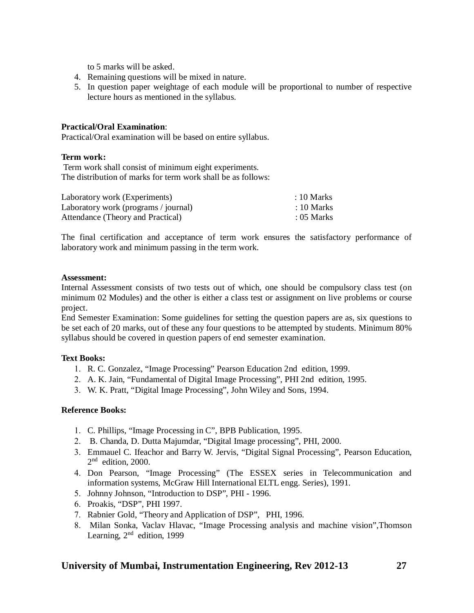to 5 marks will be asked.

- 4. Remaining questions will be mixed in nature.
- 5. In question paper weightage of each module will be proportional to number of respective lecture hours as mentioned in the syllabus.

## **Practical/Oral Examination**:

Practical/Oral examination will be based on entire syllabus.

## **Term work:**

Term work shall consist of minimum eight experiments. The distribution of marks for term work shall be as follows:

| Laboratory work (Experiments)        | $: 10$ Marks |
|--------------------------------------|--------------|
| Laboratory work (programs / journal) | $: 10$ Marks |
| Attendance (Theory and Practical)    | $: 05$ Marks |

The final certification and acceptance of term work ensures the satisfactory performance of laboratory work and minimum passing in the term work.

#### **Assessment:**

Internal Assessment consists of two tests out of which, one should be compulsory class test (on minimum 02 Modules) and the other is either a class test or assignment on live problems or course project.

End Semester Examination: Some guidelines for setting the question papers are as, six questions to be set each of 20 marks, out of these any four questions to be attempted by students. Minimum 80% syllabus should be covered in question papers of end semester examination.

## **Text Books:**

- R. C. Gonzalez, "Image Processing" Pearson Education 2nd edition, 1999.
- A. K. Jain, "Fundamental of Digital Image Processing", PHI 2nd edition, 1995.
- W. K. Pratt, "Digital Image Processing", John Wiley and Sons, 1994.

- C. Phillips, "Image Processing in C", BPB Publication, 1995.
- B. Chanda, D. Dutta Majumdar, "Digital Image processing", PHI, 2000.
- Emmauel C. Ifeachor and Barry W. Jervis, "Digital Signal Processing", Pearson Education,  $2<sup>nd</sup>$  edition, 2000.
- Don Pearson, "Image Processing" (The ESSEX series in Telecommunication and information systems, McGraw Hill International ELTL engg. Series), 1991.
- 5. Johnny Johnson, "Introduction to DSP", PHI 1996.
- Proakis, "DSP", PHI 1997.
- 7. Rabnier Gold, "Theory and Application of DSP", PHI, 1996.
- Milan Sonka, Vaclav Hlavac, "Image Processing analysis and machine vision",Thomson Learning,  $2<sup>nd</sup>$  edition, 1999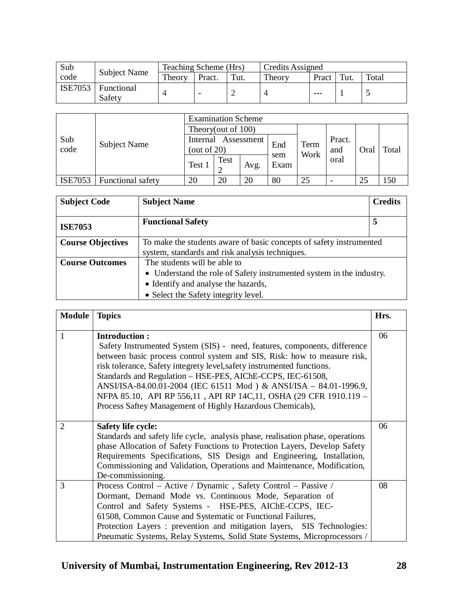| Sub            | <b>Subject Name</b>  | Teaching Scheme (Hrs) |        |      | Credits Assigned |       |      |        |
|----------------|----------------------|-----------------------|--------|------|------------------|-------|------|--------|
| code           |                      | Theory                | Pract. | Tut. | Theory           | Pract | Tut. | Total  |
| <b>ISE7053</b> | Functional<br>Safety |                       |        |      |                  | ---   |      | $\sim$ |

|                |                     | <b>Examination Scheme</b>                |      |      |             |      |                          |      |       |  |
|----------------|---------------------|------------------------------------------|------|------|-------------|------|--------------------------|------|-------|--|
|                | <b>Subject Name</b> | Theory(out of 100)                       |      |      |             |      |                          |      |       |  |
| Sub<br>code    |                     | Internal<br>Assessment<br>(out of $20$ ) |      |      | End         | Term | Pract.<br>and            | Oral | Total |  |
|                |                     | Test 1                                   | Test | Avg. | sem<br>Exam | Work | oral                     |      |       |  |
| <b>ISE7053</b> | Functional safety   | 20                                       | 20   | 20   | 80          | 25   | $\overline{\phantom{a}}$ | 25   | 150   |  |

| <b>Subject Code</b>      | <b>Subject Name</b>                                                  | <b>Credits</b> |  |  |  |  |  |  |
|--------------------------|----------------------------------------------------------------------|----------------|--|--|--|--|--|--|
| <b>ISE7053</b>           | <b>Functional Safety</b>                                             | 5              |  |  |  |  |  |  |
| <b>Course Objectives</b> | To make the students aware of basic concepts of safety instrumented  |                |  |  |  |  |  |  |
|                          | system, standards and risk analysis techniques.                      |                |  |  |  |  |  |  |
| <b>Course Outcomes</b>   | The students will be able to                                         |                |  |  |  |  |  |  |
|                          | • Understand the role of Safety instrumented system in the industry. |                |  |  |  |  |  |  |
|                          | • Identify and analyse the hazards,                                  |                |  |  |  |  |  |  |
|                          | • Select the Safety integrity level.                                 |                |  |  |  |  |  |  |

| <b>Module</b>  | <b>Topics</b>                                                                                                                                                                                                                                                                                                                                                                                                                                                                                                                 | Hrs. |
|----------------|-------------------------------------------------------------------------------------------------------------------------------------------------------------------------------------------------------------------------------------------------------------------------------------------------------------------------------------------------------------------------------------------------------------------------------------------------------------------------------------------------------------------------------|------|
| 1              | <b>Introduction:</b><br>Safety Instrumented System (SIS) - need, features, components, difference<br>between basic process control system and SIS, Risk: how to measure risk,<br>risk tolerance, Safety integrety level, safety instrumented functions.<br>Standards and Regulation - HSE-PES, AIChE-CCPS, IEC-61508,<br>ANSI/ISA-84.00.01-2004 (IEC 61511 Mod ) & ANSI/ISA - 84.01-1996.9,<br>NFPA 85.10, API RP 556,11, API RP 14C,11, OSHA (29 CFR 1910.119 -<br>Process Saftey Management of Highly Hazardous Chemicals), | 06   |
| $\overline{2}$ | <b>Safety life cycle:</b><br>Standards and safety life cycle, analysis phase, realisation phase, operations<br>phase Allocation of Safety Functions to Protection Layers, Develop Safety<br>Requirements Specifications, SIS Design and Engineering, Installation,<br>Commissioning and Validation, Operations and Maintenance, Modification,<br>De-commissioning.                                                                                                                                                            | 06   |
| 3              | Process Control - Active / Dynamic, Safety Control - Passive /<br>Dormant, Demand Mode vs. Continuous Mode, Separation of<br>Control and Safety Systems - HSE-PES, AIChE-CCPS, IEC-<br>61508, Common Cause and Systematic or Functional Failures,<br>Protection Layers : prevention and mitigation layers, SIS Technologies:<br>Pneumatic Systems, Relay Systems, Solid State Systems, Microprocessors /                                                                                                                      | 08   |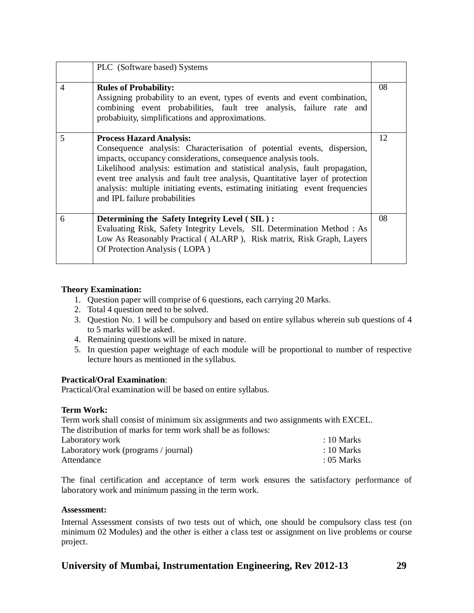|                | PLC (Software based) Systems                                                                                                                                                                                                                                                                                                                                                                                                                                    |    |
|----------------|-----------------------------------------------------------------------------------------------------------------------------------------------------------------------------------------------------------------------------------------------------------------------------------------------------------------------------------------------------------------------------------------------------------------------------------------------------------------|----|
| $\overline{4}$ | <b>Rules of Probability:</b><br>Assigning probability to an event, types of events and event combination,<br>combining event probabilities, fault tree analysis, failure rate and<br>probabiuity, simplifications and approximations.                                                                                                                                                                                                                           | 08 |
| 5              | <b>Process Hazard Analysis:</b><br>Consequence analysis: Characterisation of potential events, dispersion,<br>impacts, occupancy considerations, consequence analysis tools.<br>Likelihood analysis: estimation and statistical analysis, fault propagation,<br>event tree analysis and fault tree analysis, Quantitative layer of protection<br>analysis: multiple initiating events, estimating initiating event frequencies<br>and IPL failure probabilities | 12 |
| 6              | Determining the Safety Integrity Level (SIL):<br>Evaluating Risk, Safety Integrity Levels, SIL Determination Method: As<br>Low As Reasonably Practical (ALARP), Risk matrix, Risk Graph, Layers<br>Of Protection Analysis (LOPA)                                                                                                                                                                                                                                | 08 |

## **Theory Examination:**

- 1. Question paper will comprise of 6 questions, each carrying 20 Marks.
- 2. Total 4 question need to be solved.
- 3. Question No. 1 will be compulsory and based on entire syllabus wherein sub questions of 4 to 5 marks will be asked.
- 4. Remaining questions will be mixed in nature.
- 5. In question paper weightage of each module will be proportional to number of respective lecture hours as mentioned in the syllabus.

## **Practical/Oral Examination**:

Practical/Oral examination will be based on entire syllabus.

## **Term Work:**

Term work shall consist of minimum six assignments and two assignments with EXCEL. The distribution of marks for term work shall be as follows:

| Laboratory work                      | $: 10$ Marks |
|--------------------------------------|--------------|
| Laboratory work (programs / journal) | $: 10$ Marks |
| Attendance                           | $: 05$ Marks |

The final certification and acceptance of term work ensures the satisfactory performance of laboratory work and minimum passing in the term work.

## **Assessment:**

Internal Assessment consists of two tests out of which, one should be compulsory class test (on minimum 02 Modules) and the other is either a class test or assignment on live problems or course project.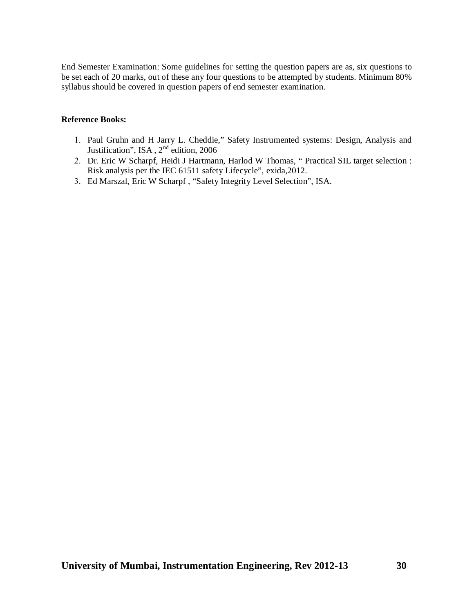End Semester Examination: Some guidelines for setting the question papers are as, six questions to be set each of 20 marks, out of these any four questions to be attempted by students. Minimum 80% syllabus should be covered in question papers of end semester examination.

- 1. Paul Gruhn and H Jarry L. Cheddie," Safety Instrumented systems: Design, Analysis and Justification", ISA, 2<sup>nd</sup> edition, 2006
- Dr. Eric W Scharpf, Heidi J Hartmann, Harlod W Thomas, " Practical SIL target selection : Risk analysis per the IEC 61511 safety Lifecycle", exida,2012.
- Ed Marszal, Eric W Scharpf , "Safety Integrity Level Selection", ISA.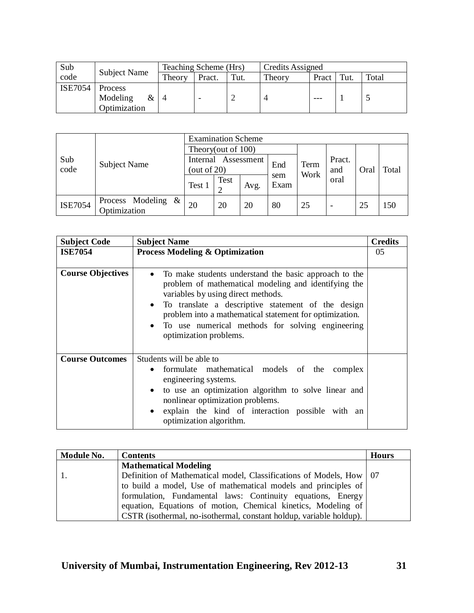| Sub            |                     | Teaching Scheme (Hrs) |        |      | Credits Assigned |       |     |       |
|----------------|---------------------|-----------------------|--------|------|------------------|-------|-----|-------|
| code           | <b>Subject Name</b> | Theory                | Pract. | Tut. | Theory           | Pract | Tut | Total |
| <b>ISE7054</b> | Process             |                       |        |      |                  |       |     |       |
|                | Modeling<br>&       |                       |        |      |                  | ---   |     |       |
|                | Optimization        |                       |        |      |                  |       |     |       |

|                | <b>Subject Name</b>                      | <b>Examination Scheme</b>                |                    |      |             |              |                          |      |       |
|----------------|------------------------------------------|------------------------------------------|--------------------|------|-------------|--------------|--------------------------|------|-------|
|                |                                          |                                          | Theory(out of 100) |      |             |              |                          |      |       |
| Sub<br>code    |                                          | Assessment<br>Internal<br>(out of $20$ ) |                    |      | End         | Term<br>Work | Pract.<br>and            | Oral | Total |
|                |                                          | Test 1                                   | Test               | Avg. | sem<br>Exam |              | oral                     |      |       |
| <b>ISE7054</b> | $\&$<br>Process Modeling<br>Optimization | 20                                       | 20                 | 20   | 80          | 25           | $\overline{\phantom{a}}$ | 25   | 150   |

| <b>Subject Code</b>      | <b>Subject Name</b>                                                                                                                                                                                                                                                                                                                                                                       | <b>Credits</b> |
|--------------------------|-------------------------------------------------------------------------------------------------------------------------------------------------------------------------------------------------------------------------------------------------------------------------------------------------------------------------------------------------------------------------------------------|----------------|
| <b>ISE7054</b>           | <b>Process Modeling &amp; Optimization</b>                                                                                                                                                                                                                                                                                                                                                | 0 <sub>5</sub> |
| <b>Course Objectives</b> | To make students understand the basic approach to the<br>$\bullet$<br>problem of mathematical modeling and identifying the<br>variables by using direct methods.<br>To translate a descriptive statement of the design<br>$\bullet$<br>problem into a mathematical statement for optimization.<br>To use numerical methods for solving engineering<br>$\bullet$<br>optimization problems. |                |
| <b>Course Outcomes</b>   | Students will be able to<br>formulate mathematical models of the complex<br>$\bullet$<br>engineering systems.<br>to use an optimization algorithm to solve linear and<br>$\bullet$<br>nonlinear optimization problems.<br>explain the kind of interaction possible with an<br>$\bullet$<br>optimization algorithm.                                                                        |                |

| Module No. | <b>Contents</b>                                                       | <b>Hours</b> |
|------------|-----------------------------------------------------------------------|--------------|
|            | <b>Mathematical Modeling</b>                                          |              |
|            | Definition of Mathematical model, Classifications of Models, How   07 |              |
|            | to build a model, Use of mathematical models and principles of        |              |
|            | formulation, Fundamental laws: Continuity equations, Energy           |              |
|            | equation, Equations of motion, Chemical kinetics, Modeling of         |              |
|            | CSTR (isothermal, no-isothermal, constant holdup, variable holdup).   |              |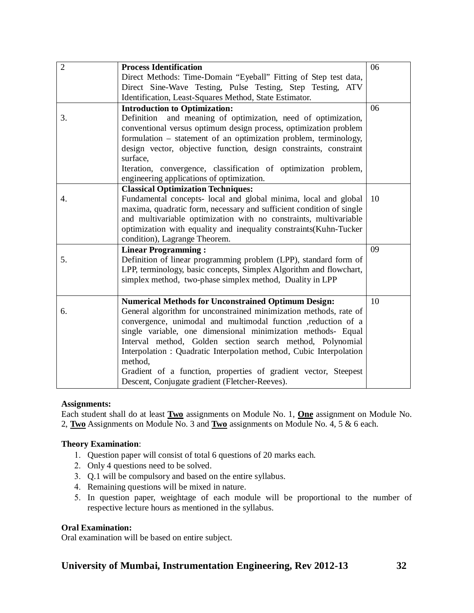| $\overline{2}$ | <b>Process Identification</b>                                                                                | 06 |
|----------------|--------------------------------------------------------------------------------------------------------------|----|
|                | Direct Methods: Time-Domain "Eyeball" Fitting of Step test data,                                             |    |
|                | Direct Sine-Wave Testing, Pulse Testing, Step Testing, ATV                                                   |    |
|                | Identification, Least-Squares Method, State Estimator.                                                       |    |
|                | <b>Introduction to Optimization:</b>                                                                         | 06 |
| 3.             | Definition and meaning of optimization, need of optimization,                                                |    |
|                | conventional versus optimum design process, optimization problem                                             |    |
|                | formulation - statement of an optimization problem, terminology,                                             |    |
|                | design vector, objective function, design constraints, constraint<br>surface,                                |    |
|                | Iteration, convergence, classification of optimization problem,<br>engineering applications of optimization. |    |
|                | <b>Classical Optimization Techniques:</b>                                                                    |    |
| 4.             | Fundamental concepts- local and global minima, local and global                                              | 10 |
|                | maxima, quadratic form, necessary and sufficient condition of single                                         |    |
|                | and multivariable optimization with no constraints, multivariable                                            |    |
|                | optimization with equality and inequality constraints(Kuhn-Tucker                                            |    |
|                | condition), Lagrange Theorem.                                                                                |    |
|                | <b>Linear Programming:</b>                                                                                   | 09 |
| 5.             | Definition of linear programming problem (LPP), standard form of                                             |    |
|                | LPP, terminology, basic concepts, Simplex Algorithm and flowchart,                                           |    |
|                | simplex method, two-phase simplex method, Duality in LPP                                                     |    |
|                |                                                                                                              |    |
|                | <b>Numerical Methods for Unconstrained Optimum Design:</b>                                                   | 10 |
| 6.             | General algorithm for unconstrained minimization methods, rate of                                            |    |
|                | convergence, unimodal and multimodal function , reduction of a                                               |    |
|                | single variable, one dimensional minimization methods- Equal                                                 |    |
|                | Interval method, Golden section search method, Polynomial                                                    |    |
|                | Interpolation: Quadratic Interpolation method, Cubic Interpolation                                           |    |
|                | method,                                                                                                      |    |
|                | Gradient of a function, properties of gradient vector, Steepest                                              |    |
|                | Descent, Conjugate gradient (Fletcher-Reeves).                                                               |    |

## **Assignments:**

Each student shall do at least **Two** assignments on Module No. 1, **One** assignment on Module No. 2, **Two** Assignments on Module No. 3 and **Two** assignments on Module No. 4, 5 & 6 each.

## **Theory Examination**:

- Question paper will consist of total 6 questions of 20 marks each.
- 2. Only 4 questions need to be solved.
- Q.1 will be compulsory and based on the entire syllabus.
- 4. Remaining questions will be mixed in nature.
- In question paper, weightage of each module will be proportional to the number of respective lecture hours as mentioned in the syllabus.

## **Oral Examination:**

Oral examination will be based on entire subject.

## **University of Mumbai, Instrumentation Engineering, Rev 2012-13 32**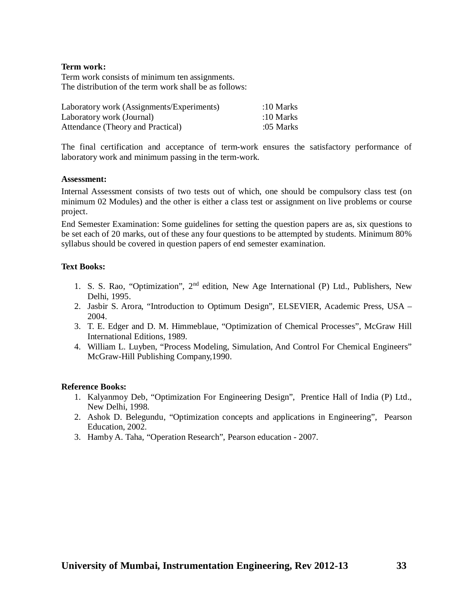## **Term work:**

Term work consists of minimum ten assignments. The distribution of the term work shall be as follows:

| Laboratory work (Assignments/Experiments) | :10 Marks |
|-------------------------------------------|-----------|
| Laboratory work (Journal)                 | :10 Marks |
| Attendance (Theory and Practical)         | :05 Marks |

The final certification and acceptance of term-work ensures the satisfactory performance of laboratory work and minimum passing in the term-work.

#### **Assessment:**

Internal Assessment consists of two tests out of which, one should be compulsory class test (on minimum 02 Modules) and the other is either a class test or assignment on live problems or course project.

End Semester Examination: Some guidelines for setting the question papers are as, six questions to be set each of 20 marks, out of these any four questions to be attempted by students. Minimum 80% syllabus should be covered in question papers of end semester examination.

## **Text Books:**

- 1. S. S. Rao, "Optimization", 2<sup>nd</sup> edition, New Age International (P) Ltd., Publishers, New Delhi, 1995.
- 2. Jasbir S. Arora, "Introduction to Optimum Design", ELSEVIER, Academic Press, USA 2004.
- 3. T. E. Edger and D. M. Himmeblaue, "Optimization of Chemical Processes", McGraw Hill International Editions, 1989.
- 4. William L. Luyben, "Process Modeling, Simulation, And Control For Chemical Engineers" McGraw-Hill Publishing Company,1990.

- 1. Kalyanmoy Deb, "Optimization For Engineering Design", Prentice Hall of India (P) Ltd., New Delhi, 1998.
- 2. Ashok D. Belegundu, "Optimization concepts and applications in Engineering", Pearson Education, 2002.
- 3. Hamby A. Taha, "Operation Research", Pearson education 2007.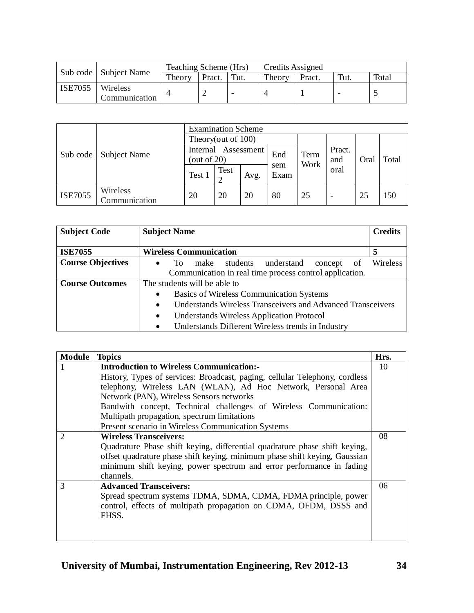|                |                           | Teaching Scheme (Hrs) |        |      | Credits Assigned |        |      |       |
|----------------|---------------------------|-----------------------|--------|------|------------------|--------|------|-------|
|                | Sub code   Subject Name   |                       | Pract. | Tut. | Theory           | Pract. | Tut. | Total |
| <b>ISE7055</b> | Wireless<br>Communication |                       |        |      |                  |        | -    |       |

|                | <b>Subject Name</b>       | <b>Examination Scheme</b>                |      |      |                     |    |               |      |       |  |
|----------------|---------------------------|------------------------------------------|------|------|---------------------|----|---------------|------|-------|--|
|                |                           | Theory(out of 100)                       |      |      |                     |    |               |      |       |  |
| Sub code       |                           | Assessment<br>Internal<br>(out of $20$ ) |      |      | End<br>Term<br>Work |    | Pract.<br>and | Oral | Total |  |
|                |                           | Test 1                                   | Test | Avg. | sem<br>Exam         |    | oral          |      |       |  |
| <b>ISE7055</b> | Wireless<br>Communication | 20                                       | 20   | 20   | 80                  | 25 | ۰             | 25   | 150   |  |

| <b>Subject Code</b>      | <b>Subject Name</b>                                                      | <b>Credits</b> |  |  |  |  |  |  |
|--------------------------|--------------------------------------------------------------------------|----------------|--|--|--|--|--|--|
| <b>ISE7055</b>           | <b>Wireless Communication</b>                                            | 5              |  |  |  |  |  |  |
| <b>Course Objectives</b> | make students understand<br>To.<br>0f<br>concept<br>$\bullet$            | Wireless       |  |  |  |  |  |  |
|                          | Communication in real time process control application.                  |                |  |  |  |  |  |  |
| <b>Course Outcomes</b>   | The students will be able to                                             |                |  |  |  |  |  |  |
|                          | <b>Basics of Wireless Communication Systems</b><br>$\bullet$             |                |  |  |  |  |  |  |
|                          | Understands Wireless Transceivers and Advanced Transceivers<br>$\bullet$ |                |  |  |  |  |  |  |
|                          | <b>Understands Wireless Application Protocol</b><br>$\bullet$            |                |  |  |  |  |  |  |
|                          | Understands Different Wireless trends in Industry<br>$\bullet$           |                |  |  |  |  |  |  |

| <b>Module</b>  | <b>Topics</b>                                                                                                                                                                                                                                 | Hrs. |
|----------------|-----------------------------------------------------------------------------------------------------------------------------------------------------------------------------------------------------------------------------------------------|------|
|                | <b>Introduction to Wireless Communication:-</b>                                                                                                                                                                                               | 10   |
|                | History, Types of services: Broadcast, paging, cellular Telephony, cordless                                                                                                                                                                   |      |
|                | telephony, Wireless LAN (WLAN), Ad Hoc Network, Personal Area                                                                                                                                                                                 |      |
|                | Network (PAN), Wireless Sensors networks                                                                                                                                                                                                      |      |
|                | Bandwith concept, Technical challenges of Wireless Communication:                                                                                                                                                                             |      |
|                | Multipath propagation, spectrum limitations                                                                                                                                                                                                   |      |
|                | Present scenario in Wireless Communication Systems                                                                                                                                                                                            |      |
| $\overline{2}$ | <b>Wireless Transceivers:</b>                                                                                                                                                                                                                 | 08   |
|                | Quadrature Phase shift keying, differential quadrature phase shift keying,<br>offset quadrature phase shift keying, minimum phase shift keying, Gaussian<br>minimum shift keying, power spectrum and error performance in fading<br>channels. |      |
| 3              | <b>Advanced Transceivers:</b>                                                                                                                                                                                                                 | 06   |
|                | Spread spectrum systems TDMA, SDMA, CDMA, FDMA principle, power<br>control, effects of multipath propagation on CDMA, OFDM, DSSS and<br>FHSS.                                                                                                 |      |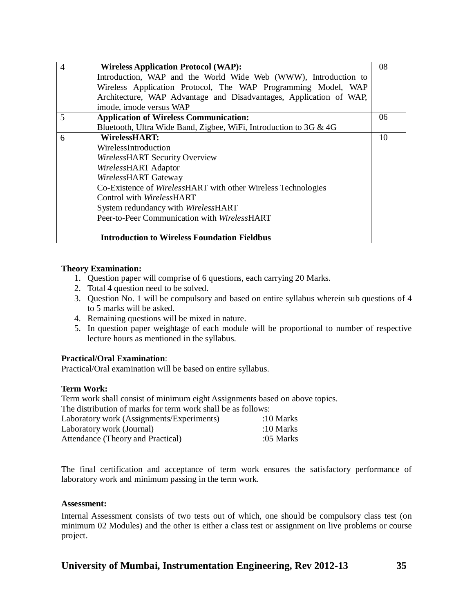| $\overline{4}$ | <b>Wireless Application Protocol (WAP):</b>                        | 08 |
|----------------|--------------------------------------------------------------------|----|
|                | Introduction, WAP and the World Wide Web (WWW), Introduction to    |    |
|                | Wireless Application Protocol, The WAP Programming Model, WAP      |    |
|                | Architecture, WAP Advantage and Disadvantages, Application of WAP, |    |
|                | imode, imode versus WAP                                            |    |
| 5              | <b>Application of Wireless Communication:</b>                      | 06 |
|                | Bluetooth, Ultra Wide Band, Zigbee, WiFi, Introduction to 3G & 4G  |    |
| 6              | <b>WirelessHART:</b>                                               | 10 |
|                | WirelessIntroduction                                               |    |
|                | WirelessHART Security Overview                                     |    |
|                | WirelessHART Adaptor                                               |    |
|                | WirelessHART Gateway                                               |    |
|                | Co-Existence of WirelessHART with other Wireless Technologies      |    |
|                | Control with <i>WirelessHART</i>                                   |    |
|                | System redundancy with WirelessHART                                |    |
|                | Peer-to-Peer Communication with WirelessHART                       |    |
|                |                                                                    |    |
|                | <b>Introduction to Wireless Foundation Fieldbus</b>                |    |

## **Theory Examination:**

- 1. Question paper will comprise of 6 questions, each carrying 20 Marks.
- 2. Total 4 question need to be solved.
- 3. Question No. 1 will be compulsory and based on entire syllabus wherein sub questions of 4 to 5 marks will be asked.
- 4. Remaining questions will be mixed in nature.
- 5. In question paper weightage of each module will be proportional to number of respective lecture hours as mentioned in the syllabus.

## **Practical/Oral Examination**:

Practical/Oral examination will be based on entire syllabus.

## **Term Work:**

Term work shall consist of minimum eight Assignments based on above topics.

The distribution of marks for term work shall be as follows:

| Laboratory work (Assignments/Experiments) | :10 Marks |
|-------------------------------------------|-----------|
| Laboratory work (Journal)                 | :10 Marks |
| Attendance (Theory and Practical)         | :05 Marks |

The final certification and acceptance of term work ensures the satisfactory performance of laboratory work and minimum passing in the term work.

## **Assessment:**

Internal Assessment consists of two tests out of which, one should be compulsory class test (on minimum 02 Modules) and the other is either a class test or assignment on live problems or course project.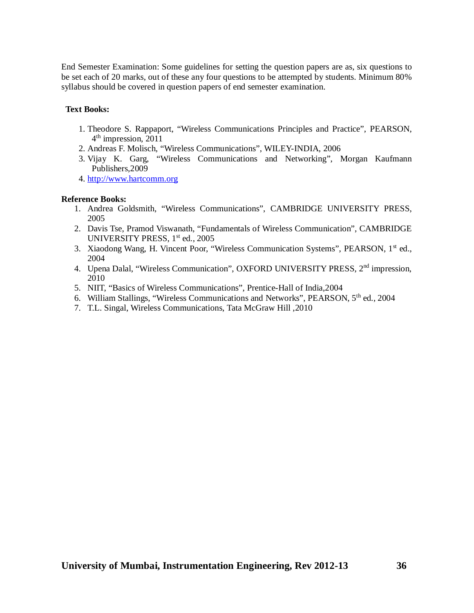End Semester Examination: Some guidelines for setting the question papers are as, six questions to be set each of 20 marks, out of these any four questions to be attempted by students. Minimum 80% syllabus should be covered in question papers of end semester examination.

## **Text Books:**

- 1. Theodore S. Rappaport, "Wireless Communications Principles and Practice", PEARSON, 4 th impression, 2011
- 2. Andreas F. Molisch, "Wireless Communications", WILEY-INDIA, 2006
- 3. Vijay K. Garg, "Wireless Communications and Networking", Morgan Kaufmann Publishers,2009
- 4. <http://www.hartcomm.org>

- 1. Andrea Goldsmith, "Wireless Communications", CAMBRIDGE UNIVERSITY PRESS, 2005
- 2. Davis Tse, Pramod Viswanath, "Fundamentals of Wireless Communication", CAMBRIDGE UNIVERSITY PRESS, 1<sup>st</sup> ed., 2005
- 3. Xiaodong Wang, H. Vincent Poor, "Wireless Communication Systems", PEARSON, 1st ed., 2004
- 4. Upena Dalal, "Wireless Communication", OXFORD UNIVERSITY PRESS, 2<sup>nd</sup> impression, 2010
- 5. NIIT, "Basics of Wireless Communications", Prentice-Hall of India,2004
- 6. William Stallings, "Wireless Communications and Networks", PEARSON, 5<sup>th</sup> ed., 2004
- 7. T.L. Singal, Wireless Communications, Tata McGraw Hill ,2010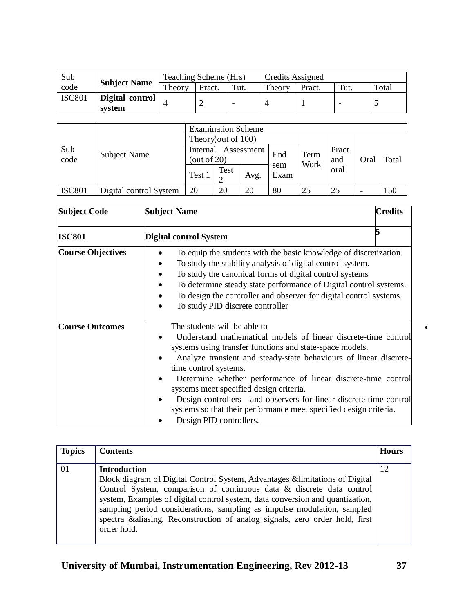| Sub           | <b>Subject Name</b> | Teaching Scheme (Hrs) |        |                          | Credits Assigned |        |      |       |
|---------------|---------------------|-----------------------|--------|--------------------------|------------------|--------|------|-------|
| code          |                     | Theory                | Pract. | Tut.                     | Theory           | Pract. | Tut. | Total |
| <b>ISC801</b> | Digital control     |                       |        | $\overline{\phantom{a}}$ |                  |        | -    |       |
|               | system              |                       |        |                          |                  |        |      |       |

|               |                        | <b>Examination Scheme</b>                           |      |        |             |      |      |      |       |  |
|---------------|------------------------|-----------------------------------------------------|------|--------|-------------|------|------|------|-------|--|
| Sub<br>code   |                        | Theory(out of 100)<br>Assessment<br>Internal<br>End |      |        |             |      |      |      |       |  |
|               |                        |                                                     | Term | Pract. |             |      |      |      |       |  |
|               | Subject Name           | (out of $20$ )                                      |      |        |             | Work | and  | Oral | Total |  |
|               |                        | Test 1                                              | Test |        | sem<br>Exam |      | oral |      |       |  |
|               |                        |                                                     |      | Avg.   |             |      |      |      |       |  |
| <b>ISC801</b> | Digital control System | 20                                                  | 20   | 20     | 80          | 25   | 25   |      | 150   |  |

| <b>Subject Code</b>      | <b>Subject Name</b><br><b>Credits</b>                                                                                                                                                                                                                                                                                                                                                                                                                                                                                                     |
|--------------------------|-------------------------------------------------------------------------------------------------------------------------------------------------------------------------------------------------------------------------------------------------------------------------------------------------------------------------------------------------------------------------------------------------------------------------------------------------------------------------------------------------------------------------------------------|
| <b>ISC801</b>            | Digital control System                                                                                                                                                                                                                                                                                                                                                                                                                                                                                                                    |
| <b>Course Objectives</b> | To equip the students with the basic knowledge of discretization.<br>To study the stability analysis of digital control system.<br>To study the canonical forms of digital control systems<br>To determine steady state performance of Digital control systems.<br>To design the controller and observer for digital control systems.<br>To study PID discrete controller                                                                                                                                                                 |
| <b>Course Outcomes</b>   | The students will be able to<br>Understand mathematical models of linear discrete-time control<br>systems using transfer functions and state-space models.<br>Analyze transient and steady-state behaviours of linear discrete-<br>time control systems.<br>Determine whether performance of linear discrete-time control<br>systems meet specified design criteria.<br>Design controllers and observers for linear discrete-time control<br>systems so that their performance meet specified design criteria.<br>Design PID controllers. |

| <b>Topics</b> | <b>Contents</b>                                                                                                                                                                                                                                                                                                                                                                                                                         | <b>Hours</b> |
|---------------|-----------------------------------------------------------------------------------------------------------------------------------------------------------------------------------------------------------------------------------------------------------------------------------------------------------------------------------------------------------------------------------------------------------------------------------------|--------------|
| 01            | <b>Introduction</b><br>Block diagram of Digital Control System, Advantages & limitations of Digital<br>Control System, comparison of continuous data & discrete data control<br>system, Examples of digital control system, data conversion and quantization,<br>sampling period considerations, sampling as impulse modulation, sampled<br>spectra & aliasing, Reconstruction of analog signals, zero order hold, first<br>order hold. | 12           |

 $\blacktriangleleft$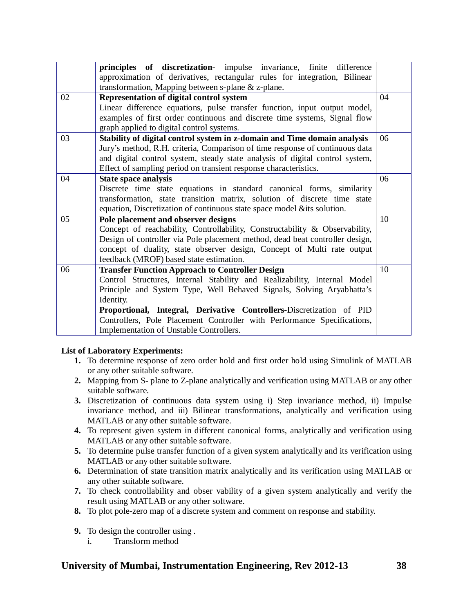|    | principles of discretization- impulse invariance, finite difference          |    |
|----|------------------------------------------------------------------------------|----|
|    | approximation of derivatives, rectangular rules for integration, Bilinear    |    |
|    | transformation, Mapping between s-plane & z-plane.                           |    |
| 02 | Representation of digital control system                                     | 04 |
|    |                                                                              |    |
|    | Linear difference equations, pulse transfer function, input output model,    |    |
|    | examples of first order continuous and discrete time systems, Signal flow    |    |
|    | graph applied to digital control systems.                                    |    |
| 03 | Stability of digital control system in z-domain and Time domain analysis     | 06 |
|    | Jury's method, R.H. criteria, Comparison of time response of continuous data |    |
|    | and digital control system, steady state analysis of digital control system, |    |
|    | Effect of sampling period on transient response characteristics.             |    |
| 04 | State space analysis                                                         | 06 |
|    | Discrete time state equations in standard canonical forms, similarity        |    |
|    | transformation, state transition matrix, solution of discrete time state     |    |
|    | equation, Discretization of continuous state space model & its solution.     |    |
| 05 | Pole placement and observer designs                                          | 10 |
|    | Concept of reachability, Controllability, Constructability & Observability,  |    |
|    | Design of controller via Pole placement method, dead beat controller design, |    |
|    | concept of duality, state observer design, Concept of Multi rate output      |    |
|    | feedback (MROF) based state estimation.                                      |    |
| 06 | <b>Transfer Function Approach to Controller Design</b>                       | 10 |
|    | Control Structures, Internal Stability and Realizability, Internal Model     |    |
|    | Principle and System Type, Well Behaved Signals, Solving Aryabhatta's        |    |
|    |                                                                              |    |
|    | Identity.                                                                    |    |
|    | Proportional, Integral, Derivative Controllers-Discretization of PID         |    |
|    | Controllers, Pole Placement Controller with Performance Specifications,      |    |
|    | Implementation of Unstable Controllers.                                      |    |

## **List of Laboratory Experiments:**

- **1.** To determine response of zero order hold and first order hold using Simulink of MATLAB or any other suitable software.
- **2.** Mapping from S- plane to Z-plane analytically and verification using MATLAB or any other suitable software.
- **3.** Discretization of continuous data system using i) Step invariance method, ii) Impulse invariance method, and iii) Bilinear transformations, analytically and verification using MATLAB or any other suitable software.
- **4.** To represent given system in different canonical forms, analytically and verification using MATLAB or any other suitable software.
- **5.** To determine pulse transfer function of a given system analytically and its verification using MATLAB or any other suitable software.
- **6.** Determination of state transition matrix analytically and its verification using MATLAB or any other suitable software.
- **7.** To check controllability and obser vability of a given system analytically and verify the result using MATLAB or any other software.
- **8.** To plot pole-zero map of a discrete system and comment on response and stability.
- **9.** To design the controller using .
	- i. Transform method

## **University of Mumbai, Instrumentation Engineering, Rev 2012-13 38**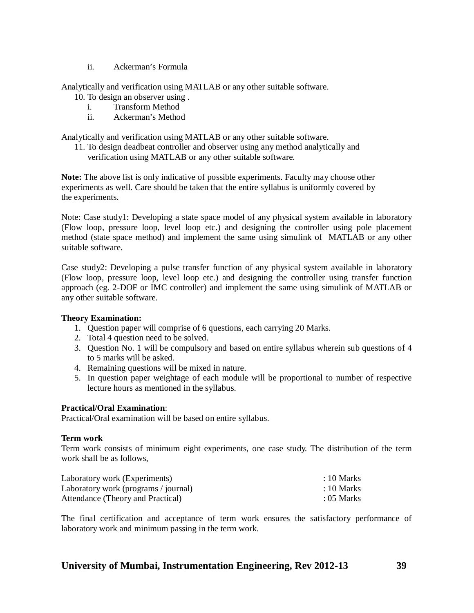ii. Ackerman's Formula

Analytically and verification using MATLAB or any other suitable software.

- 10. To design an observer using .
	- i. Transform Method
	- ii. Ackerman's Method

Analytically and verification using MATLAB or any other suitable software.

11. To design deadbeat controller and observer using any method analytically and verification using MATLAB or any other suitable software.

**Note:** The above list is only indicative of possible experiments. Faculty may choose other experiments as well. Care should be taken that the entire syllabus is uniformly covered by the experiments.

Note: Case study1: Developing a state space model of any physical system available in laboratory (Flow loop, pressure loop, level loop etc.) and designing the controller using pole placement method (state space method) and implement the same using simulink of MATLAB or any other suitable software.

Case study2: Developing a pulse transfer function of any physical system available in laboratory (Flow loop, pressure loop, level loop etc.) and designing the controller using transfer function approach (eg. 2-DOF or IMC controller) and implement the same using simulink of MATLAB or any other suitable software.

## **Theory Examination:**

- 1. Question paper will comprise of 6 questions, each carrying 20 Marks.
- 2. Total 4 question need to be solved.
- 3. Question No. 1 will be compulsory and based on entire syllabus wherein sub questions of 4 to 5 marks will be asked.
- 4. Remaining questions will be mixed in nature.
- 5. In question paper weightage of each module will be proportional to number of respective lecture hours as mentioned in the syllabus.

## **Practical/Oral Examination**:

Practical/Oral examination will be based on entire syllabus.

## **Term work**

Term work consists of minimum eight experiments, one case study. The distribution of the term work shall be as follows,

| Laboratory work (Experiments)        | $: 10$ Marks |
|--------------------------------------|--------------|
| Laboratory work (programs / journal) | $: 10$ Marks |
| Attendance (Theory and Practical)    | $: 05$ Marks |

The final certification and acceptance of term work ensures the satisfactory performance of laboratory work and minimum passing in the term work.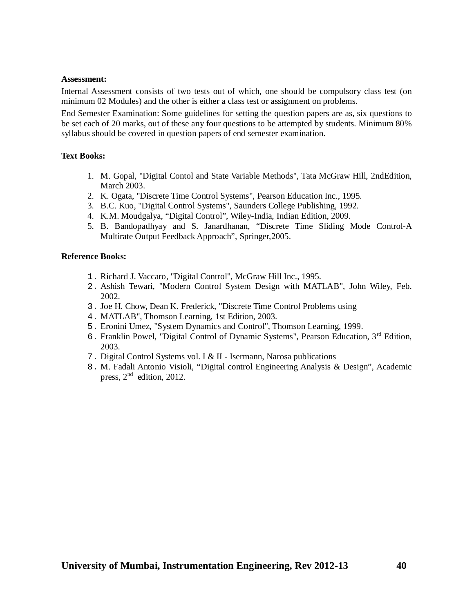#### **Assessment:**

Internal Assessment consists of two tests out of which, one should be compulsory class test (on minimum 02 Modules) and the other is either a class test or assignment on problems.

End Semester Examination: Some guidelines for setting the question papers are as, six questions to be set each of 20 marks, out of these any four questions to be attempted by students. Minimum 80% syllabus should be covered in question papers of end semester examination.

## **Text Books:**

- 1. M. Gopal, "Digital Contol and State Variable Methods", Tata McGraw Hill, 2ndEdition, March 2003.
- 2. K. Ogata, "Discrete Time Control Systems", Pearson Education Inc., 1995.
- 3. B.C. Kuo, "Digital Control Systems", Saunders College Publishing, 1992.
- 4. K.M. Moudgalya, "Digital Control", Wiley-India, Indian Edition, 2009.
- 5. B. Bandopadhyay and S. Janardhanan, "Discrete Time Sliding Mode Control-A Multirate Output Feedback Approach", Springer,2005.

- 1. Richard J. Vaccaro, "Digital Control", McGraw Hill Inc., 1995.
- 2. Ashish Tewari, "Modern Control System Design with MATLAB", John Wiley, Feb. 2002.
- 3. Joe H. Chow, Dean K. Frederick, "Discrete Time Control Problems using
- 4. MATLAB", Thomson Learning, 1st Edition, 2003.
- 5. Eronini Umez, "System Dynamics and Control", Thomson Learning, 1999.
- 6. Franklin Powel, "Digital Control of Dynamic Systems", Pearson Education, 3 rd Edition, 2003.
- 7. Digital Control Systems vol. I & II Isermann, Narosa publications
- 8. M. Fadali Antonio Visioli, "Digital control Engineering Analysis & Design", Academic press, 2<sup>nd</sup> edition, 2012.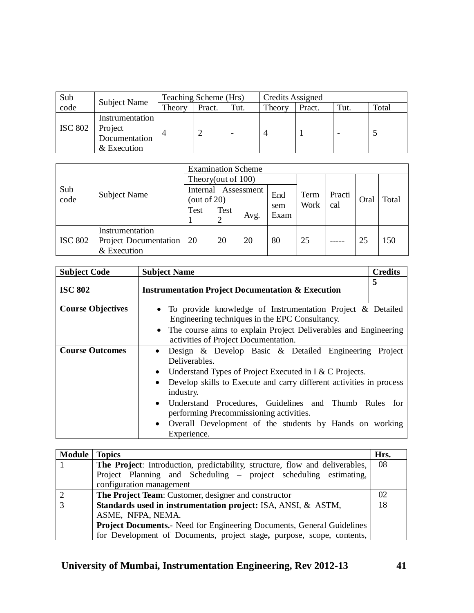| Sub            |                                                            | Teaching Scheme (Hrs) |        |      | Credits Assigned |        |      |       |
|----------------|------------------------------------------------------------|-----------------------|--------|------|------------------|--------|------|-------|
| code           | <b>Subject Name</b>                                        | Theory                | Pract. | Tut. | Theory           | Pract. | Tut. | Total |
| <b>ISC 802</b> | Instrumentation<br>Project<br>Documentation<br>& Execution |                       |        |      |                  |        |      |       |

|                |                                                         | <b>Examination Scheme</b>                |           |      |             |              |        |      |       |  |
|----------------|---------------------------------------------------------|------------------------------------------|-----------|------|-------------|--------------|--------|------|-------|--|
|                |                                                         | Theory(out of 100)                       |           |      |             |              |        |      |       |  |
| Sub<br>code    | <b>Subject Name</b>                                     | Assessment<br>Internal<br>(out of $20$ ) |           |      | End         | Term<br>Work | Practi | Oral | Total |  |
|                |                                                         | <b>Test</b>                              | Test<br>2 | Avg. | sem<br>Exam | cal          |        |      |       |  |
| <b>ISC 802</b> | Instrumentation<br>Project Documentation<br>& Execution | 20                                       | 20        | 20   | 80          | 25           |        | 25   | 150   |  |

| <b>Subject Code</b>      | <b>Subject Name</b>                                                                                            | <b>Credits</b> |
|--------------------------|----------------------------------------------------------------------------------------------------------------|----------------|
| <b>ISC 802</b>           | <b>Instrumentation Project Documentation &amp; Execution</b>                                                   | 5              |
| <b>Course Objectives</b> | • To provide knowledge of Instrumentation Project & Detailed<br>Engineering techniques in the EPC Consultancy. |                |
|                          | • The course aims to explain Project Deliverables and Engineering<br>activities of Project Documentation.      |                |
| <b>Course Outcomes</b>   | Design & Develop Basic & Detailed Engineering Project<br>$\bullet$<br>Deliverables.                            |                |
|                          | • Understand Types of Project Executed in I & C Projects.                                                      |                |
|                          | Develop skills to Execute and carry different activities in process<br>$\bullet$<br>industry.                  |                |
|                          | Understand Procedures, Guidelines and Thumb Rules for<br>$\bullet$<br>performing Precommissioning activities.  |                |
|                          | Overall Development of the students by Hands on working<br>$\bullet$<br>Experience.                            |                |

| <b>Module</b> | Topics                                                                        | Hrs. |  |  |  |  |
|---------------|-------------------------------------------------------------------------------|------|--|--|--|--|
|               | The Project: Introduction, predictability, structure, flow and deliverables,  | 08   |  |  |  |  |
|               | Project Planning and Scheduling – project scheduling estimating,              |      |  |  |  |  |
|               | configuration management                                                      |      |  |  |  |  |
|               | The Project Team: Customer, designer and constructor                          | 02   |  |  |  |  |
| 3             | Standards used in instrumentation project: ISA, ANSI, & ASTM,                 |      |  |  |  |  |
|               | ASME, NFPA, NEMA.                                                             |      |  |  |  |  |
|               | <b>Project Documents.-</b> Need for Engineering Documents, General Guidelines |      |  |  |  |  |
|               | for Development of Documents, project stage, purpose, scope, contents,        |      |  |  |  |  |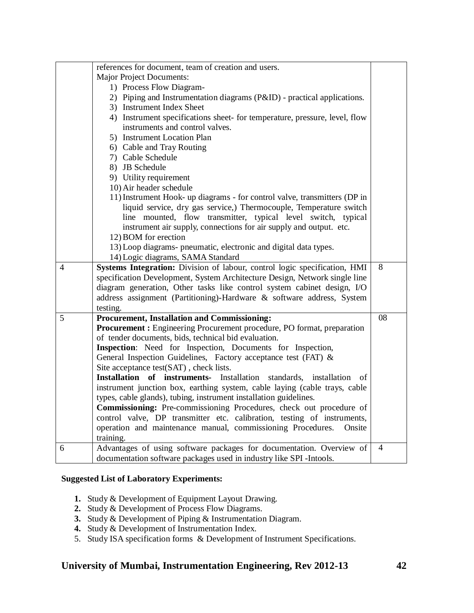|   | references for document, team of creation and users.                                                                                       |    |
|---|--------------------------------------------------------------------------------------------------------------------------------------------|----|
|   | <b>Major Project Documents:</b>                                                                                                            |    |
|   | 1) Process Flow Diagram-                                                                                                                   |    |
|   | 2) Piping and Instrumentation diagrams (P&ID) - practical applications.                                                                    |    |
|   | 3) Instrument Index Sheet                                                                                                                  |    |
|   | 4) Instrument specifications sheet- for temperature, pressure, level, flow                                                                 |    |
|   | instruments and control valves.                                                                                                            |    |
|   | 5) Instrument Location Plan                                                                                                                |    |
|   | 6) Cable and Tray Routing                                                                                                                  |    |
|   | 7) Cable Schedule                                                                                                                          |    |
|   | 8) JB Schedule                                                                                                                             |    |
|   | 9) Utility requirement                                                                                                                     |    |
|   | 10) Air header schedule                                                                                                                    |    |
|   | 11) Instrument Hook- up diagrams - for control valve, transmitters (DP in                                                                  |    |
|   | liquid service, dry gas service,) Thermocouple, Temperature switch                                                                         |    |
|   | line mounted, flow transmitter, typical level switch, typical                                                                              |    |
|   | instrument air supply, connections for air supply and output. etc.                                                                         |    |
|   | 12) BOM for erection                                                                                                                       |    |
|   | 13) Loop diagrams- pneumatic, electronic and digital data types.                                                                           |    |
|   | 14) Logic diagrams, SAMA Standard                                                                                                          |    |
|   |                                                                                                                                            |    |
| 4 | Systems Integration: Division of labour, control logic specification, HMI                                                                  | 8  |
|   | specification Development, System Architecture Design, Network single line                                                                 |    |
|   | diagram generation, Other tasks like control system cabinet design, I/O                                                                    |    |
|   | address assignment (Partitioning)-Hardware & software address, System                                                                      |    |
|   | testing.                                                                                                                                   |    |
| 5 | <b>Procurement, Installation and Commissioning:</b>                                                                                        | 08 |
|   | Procurement : Engineering Procurement procedure, PO format, preparation                                                                    |    |
|   | of tender documents, bids, technical bid evaluation.                                                                                       |    |
|   | Inspection: Need for Inspection, Documents for Inspection,                                                                                 |    |
|   | General Inspection Guidelines, Factory acceptance test (FAT) &                                                                             |    |
|   | Site acceptance test(SAT), check lists.                                                                                                    |    |
|   | Installation of instruments- Installation standards,<br>installation<br>of                                                                 |    |
|   | instrument junction box, earthing system, cable laying (cable trays, cable                                                                 |    |
|   | types, cable glands), tubing, instrument installation guidelines.                                                                          |    |
|   | Commissioning: Pre-commissioning Procedures, check out procedure of                                                                        |    |
|   | control valve, DP transmitter etc. calibration, testing of instruments,                                                                    |    |
|   | operation and maintenance manual, commissioning Procedures.<br>Onsite                                                                      |    |
|   | training.                                                                                                                                  |    |
| 6 | Advantages of using software packages for documentation. Overview of<br>documentation software packages used in industry like SPI-Intools. | 4  |

## **Suggested List of Laboratory Experiments:**

- **1.** Study & Development of Equipment Layout Drawing.
- **2.** Study & Development of Process Flow Diagrams.
- **3.** Study & Development of Piping & Instrumentation Diagram.
- **4.** Study & Development of Instrumentation Index.
- 5. Study ISA specification forms & Development of Instrument Specifications.

## **University of Mumbai, Instrumentation Engineering, Rev 2012-13 42**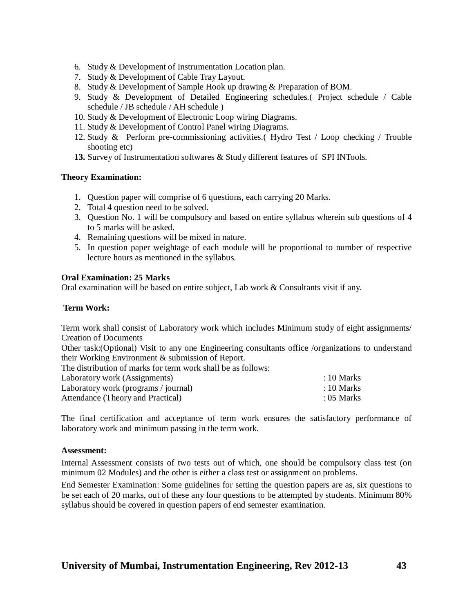- 6. Study & Development of Instrumentation Location plan.
- 7. Study & Development of Cable Tray Layout.
- 8. Study & Development of Sample Hook up drawing & Preparation of BOM.
- 9. Study & Development of Detailed Engineering schedules.( Project schedule / Cable schedule / JB schedule / AH schedule )
- 10. Study & Development of Electronic Loop wiring Diagrams.
- 11. Study & Development of Control Panel wiring Diagrams.
- 12. Study & Perform pre-commissioning activities.( Hydro Test / Loop checking / Trouble shooting etc)
- **13.** Survey of Instrumentation softwares & Study different features of SPI INTools.

## **Theory Examination:**

- 1. Question paper will comprise of 6 questions, each carrying 20 Marks.
- 2. Total 4 question need to be solved.
- 3. Question No. 1 will be compulsory and based on entire syllabus wherein sub questions of 4 to 5 marks will be asked.
- 4. Remaining questions will be mixed in nature.
- 5. In question paper weightage of each module will be proportional to number of respective lecture hours as mentioned in the syllabus.

## **Oral Examination: 25 Marks**

Oral examination will be based on entire subject, Lab work & Consultants visit if any.

## **Term Work:**

Term work shall consist of Laboratory work which includes Minimum study of eight assignments/ Creation of Documents

Other task:(Optional) Visit to any one Engineering consultants office /organizations to understand their Working Environment & submission of Report.

The distribution of marks for term work shall be as follows:

| Laboratory work (Assignments)        | $: 10$ Marks |
|--------------------------------------|--------------|
| Laboratory work (programs / journal) | $: 10$ Marks |
| Attendance (Theory and Practical)    | : $05$ Marks |

The final certification and acceptance of term work ensures the satisfactory performance of laboratory work and minimum passing in the term work.

## **Assessment:**

Internal Assessment consists of two tests out of which, one should be compulsory class test (on minimum 02 Modules) and the other is either a class test or assignment on problems.

End Semester Examination: Some guidelines for setting the question papers are as, six questions to be set each of 20 marks, out of these any four questions to be attempted by students. Minimum 80% syllabus should be covered in question papers of end semester examination.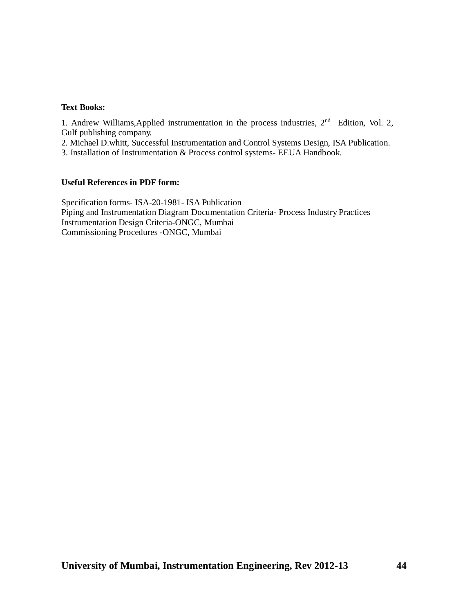## **Text Books:**

1. Andrew Williams, Applied instrumentation in the process industries, 2<sup>nd</sup> Edition, Vol. 2, Gulf publishing company.

2. Michael D.whitt, Successful Instrumentation and Control Systems Design, ISA Publication.

3. Installation of Instrumentation & Process control systems- EEUA Handbook.

#### **Useful References in PDF form:**

Specification forms- ISA-20-1981- ISA Publication Piping and Instrumentation Diagram Documentation Criteria- Process Industry Practices Instrumentation Design Criteria-ONGC, Mumbai Commissioning Procedures -ONGC, Mumbai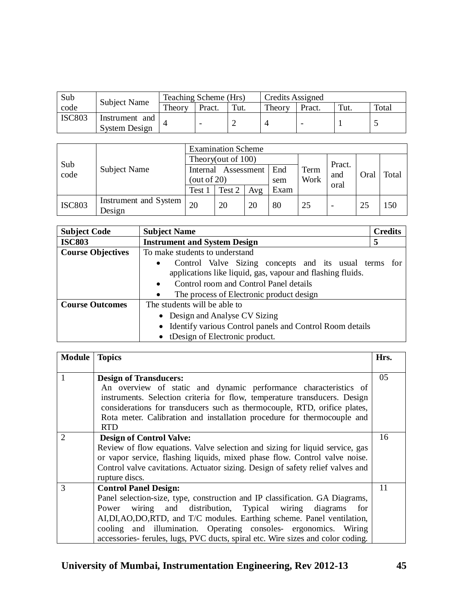| Sub           | <b>Subject Name</b>             | Teaching Scheme (Hrs) |        |      | Credits Assigned |        |      |       |
|---------------|---------------------------------|-----------------------|--------|------|------------------|--------|------|-------|
| code          |                                 | Theory                | Pract. | Tut. | Theory           | Pract. | Tut. | Total |
| <b>ISC803</b> | Instrument and<br>System Design |                       |        |      |                  |        |      |       |

|               | Subject Name                    | <b>Examination Scheme</b> |                       |     |      |      |             |      |       |  |
|---------------|---------------------------------|---------------------------|-----------------------|-----|------|------|-------------|------|-------|--|
|               |                                 |                           | Theory(out of $100$ ) |     |      |      |             |      |       |  |
| Sub<br>code   |                                 |                           | Internal Assessment   |     | End  | Term | Pract.      | Oral | Total |  |
|               |                                 | (out of $20$ )            |                       |     | sem  | Work | and<br>oral |      |       |  |
|               |                                 | Test 1                    | Test 2                | Avg | Exam |      |             |      |       |  |
| <b>ISC803</b> | Instrument and System<br>Design | 20                        | 20                    | 20  | 80   | 25   |             | 25   | 150   |  |

| <b>Subject Code</b>      | <b>Subject Name</b>                                                                                                              | <b>Credits</b> |  |  |  |  |  |  |  |
|--------------------------|----------------------------------------------------------------------------------------------------------------------------------|----------------|--|--|--|--|--|--|--|
| <b>ISC803</b>            | <b>Instrument and System Design</b>                                                                                              | 5              |  |  |  |  |  |  |  |
| <b>Course Objectives</b> | To make students to understand                                                                                                   |                |  |  |  |  |  |  |  |
|                          | Control Valve Sizing concepts and its usual terms for<br>$\bullet$<br>applications like liquid, gas, vapour and flashing fluids. |                |  |  |  |  |  |  |  |
|                          | Control room and Control Panel details<br>$\bullet$                                                                              |                |  |  |  |  |  |  |  |
|                          | The process of Electronic product design                                                                                         |                |  |  |  |  |  |  |  |
| <b>Course Outcomes</b>   | The students will be able to                                                                                                     |                |  |  |  |  |  |  |  |
|                          | Design and Analyse CV Sizing<br>$\bullet$                                                                                        |                |  |  |  |  |  |  |  |
|                          | • Identify various Control panels and Control Room details                                                                       |                |  |  |  |  |  |  |  |
|                          | tDesign of Electronic product.                                                                                                   |                |  |  |  |  |  |  |  |

| <b>Module</b> | <b>Topics</b>                                                                                                                                                                                                                                                                                                                                                                                                     | Hrs. |
|---------------|-------------------------------------------------------------------------------------------------------------------------------------------------------------------------------------------------------------------------------------------------------------------------------------------------------------------------------------------------------------------------------------------------------------------|------|
|               | <b>Design of Transducers:</b><br>An overview of static and dynamic performance characteristics of<br>instruments. Selection criteria for flow, temperature transducers. Design<br>considerations for transducers such as thermocouple, RTD, orifice plates,<br>Rota meter. Calibration and installation procedure for thermocouple and<br><b>RTD</b>                                                              | 05   |
| 2             | <b>Design of Control Valve:</b><br>Review of flow equations. Valve selection and sizing for liquid service, gas<br>or vapor service, flashing liquids, mixed phase flow. Control valve noise.<br>Control valve cavitations. Actuator sizing. Design of safety relief valves and<br>rupture discs.                                                                                                                 | 16   |
| $\mathcal{R}$ | <b>Control Panel Design:</b><br>Panel selection-size, type, construction and IP classification. GA Diagrams,<br>Power wiring and distribution, Typical wiring diagrams<br>for<br>AI, DI, AO, DO, RTD, and T/C modules. Earthing scheme. Panel ventilation,<br>cooling and illumination. Operating consoles- ergonomics. Wiring<br>accessories- ferules, lugs, PVC ducts, spiral etc. Wire sizes and color coding. | 11   |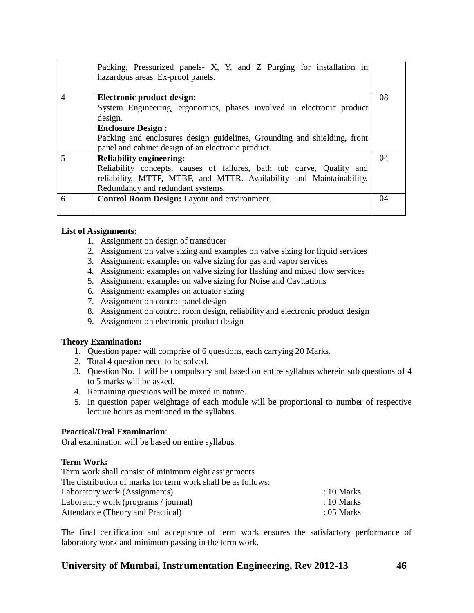|                | Packing, Pressurized panels- X, Y, and Z Purging for installation in<br>hazardous areas. Ex-proof panels. |    |
|----------------|-----------------------------------------------------------------------------------------------------------|----|
| $\overline{4}$ | Electronic product design:                                                                                | 08 |
|                | System Engineering, ergonomics, phases involved in electronic product<br>design.                          |    |
|                | <b>Enclosure Design:</b>                                                                                  |    |
|                | Packing and enclosures design guidelines, Grounding and shielding, front                                  |    |
|                | panel and cabinet design of an electronic product.                                                        |    |
|                | <b>Reliability engineering:</b>                                                                           | 04 |
|                | Reliability concepts, causes of failures, bath tub curve, Quality and                                     |    |
|                | reliability, MTTF, MTBF, and MTTR. Availability and Maintainability.                                      |    |
|                | Redundancy and redundant systems.                                                                         |    |
| 6              | Control Room Design: Layout and environment.                                                              | 04 |
|                |                                                                                                           |    |

## **List of Assignments:**

- 1. Assignment on design of transducer
- 2. Assignment on valve sizing and examples on valve sizing for liquid services
- 3. Assignment: examples on valve sizing for gas and vapor services
- 4. Assignment: examples on valve sizing for flashing and mixed flow services
- 5. Assignment: examples on valve sizing for Noise and Cavitations
- 6. Assignment: examples on actuator sizing
- 7. Assignment on control panel design
- 8. Assignment on control room design, reliability and electronic product design
- 9. Assignment on electronic product design

## **Theory Examination:**

- 1. Question paper will comprise of 6 questions, each carrying 20 Marks.
- 2. Total 4 question need to be solved.
- 3. Question No. 1 will be compulsory and based on entire syllabus wherein sub questions of 4 to 5 marks will be asked.
- 4. Remaining questions will be mixed in nature.
- 5. In question paper weightage of each module will be proportional to number of respective lecture hours as mentioned in the syllabus.

## **Practical/Oral Examination**:

Oral examination will be based on entire syllabus.

## **Term Work:**

| Term work shall consist of minimum eight assignments         |                       |
|--------------------------------------------------------------|-----------------------|
| The distribution of marks for term work shall be as follows: |                       |
| Laboratory work (Assignments)                                | $\therefore$ 10 Marks |
| Laboratory work (programs / journal)                         | $\therefore$ 10 Marks |
| Attendance (Theory and Practical)                            | $: 05$ Marks          |

The final certification and acceptance of term work ensures the satisfactory performance of laboratory work and minimum passing in the term work.

## **University of Mumbai, Instrumentation Engineering, Rev 2012-13 46**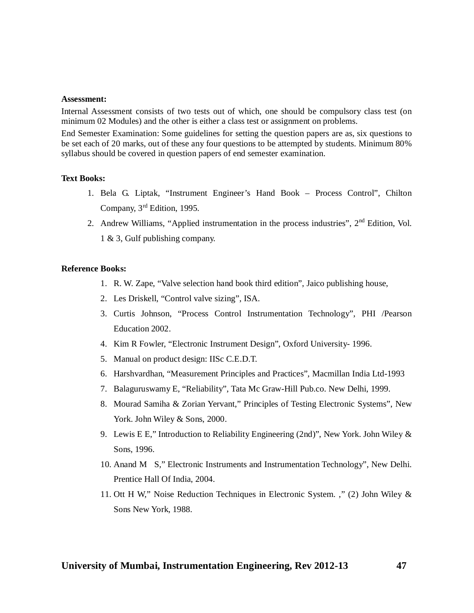#### **Assessment:**

Internal Assessment consists of two tests out of which, one should be compulsory class test (on minimum 02 Modules) and the other is either a class test or assignment on problems.

End Semester Examination: Some guidelines for setting the question papers are as, six questions to be set each of 20 marks, out of these any four questions to be attempted by students. Minimum 80% syllabus should be covered in question papers of end semester examination.

#### **Text Books:**

- 1. Bela G. Liptak, "Instrument Engineer's Hand Book Process Control", Chilton Company, 3 rd Edition, 1995.
- 2. Andrew Williams, "Applied instrumentation in the process industries", 2<sup>nd</sup> Edition, Vol. 1 & 3, Gulf publishing company.

- 1. R. W. Zape, "Valve selection hand book third edition", Jaico publishing house,
- 2. Les Driskell, "Control valve sizing", ISA.
- 3. Curtis Johnson, "Process Control Instrumentation Technology", PHI /Pearson Education 2002.
- 4. Kim R Fowler, "Electronic Instrument Design", Oxford University- 1996.
- 5. Manual on product design: IISc C.E.D.T.
- 6. Harshvardhan, "Measurement Principles and Practices", Macmillan India Ltd-1993
- 7. Balaguruswamy E, "Reliability", Tata Mc Graw-Hill Pub.co. New Delhi, 1999.
- 8. Mourad Samiha & Zorian Yervant," Principles of Testing Electronic Systems", New York. John Wiley & Sons, 2000.
- 9. Lewis E E," Introduction to Reliability Engineering (2nd)", New York. John Wiley & Sons, 1996.
- 10. Anand M S," Electronic Instruments and Instrumentation Technology", New Delhi. Prentice Hall Of India, 2004.
- 11. Ott H W," Noise Reduction Techniques in Electronic System. ," (2) John Wiley & Sons New York, 1988.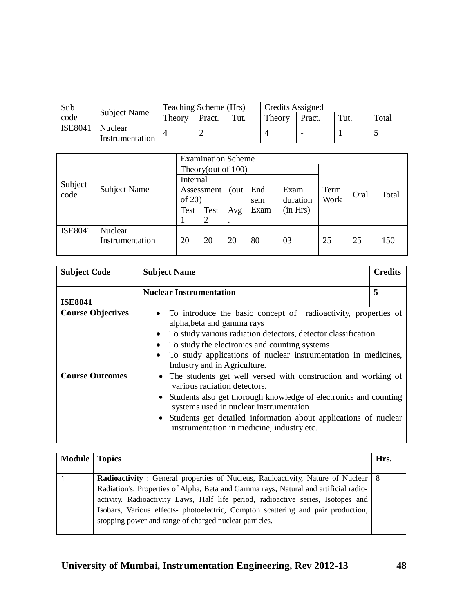| Sub            | <b>Subject Name</b>        | Teaching Scheme (Hrs) |        |      | <b>Credits Assigned</b> |                 |      |       |
|----------------|----------------------------|-----------------------|--------|------|-------------------------|-----------------|------|-------|
| code           |                            | Theory                | Pract. | Tut. | Theory                  | Pract.          | Tut. | Total |
| <b>ISE8041</b> | Nuclear<br>Instrumentation |                       |        |      |                         | $\qquad \qquad$ |      |       |

|                |                     | <b>Examination Scheme</b> |                    |     |      |          |      |      |       |  |
|----------------|---------------------|---------------------------|--------------------|-----|------|----------|------|------|-------|--|
|                |                     |                           | Theory(out of 100) |     |      |          |      |      |       |  |
| Subject        |                     | Internal                  |                    |     |      |          |      |      |       |  |
| code           | <b>Subject Name</b> | Assessment<br>(out)       |                    |     | End  | Exam     | Term | Oral | Total |  |
|                |                     | of $20$                   |                    |     | sem  | duration | Work |      |       |  |
|                |                     | <b>Test</b>               | Test               | Avg | Exam | (in Hrs) |      |      |       |  |
|                |                     |                           |                    |     |      |          |      |      |       |  |
| <b>ISE8041</b> | Nuclear             |                           |                    |     |      |          |      |      |       |  |
|                | Instrumentation     | 20                        | 20                 | 20  | 80   | 03       | 25   | 25   | 150   |  |
|                |                     |                           |                    |     |      |          |      |      |       |  |

| <b>Subject Code</b>      | <b>Subject Name</b>                                                                                                                                                                                                                                                                                                                           | <b>Credits</b> |
|--------------------------|-----------------------------------------------------------------------------------------------------------------------------------------------------------------------------------------------------------------------------------------------------------------------------------------------------------------------------------------------|----------------|
| <b>ISE8041</b>           | <b>Nuclear Instrumentation</b>                                                                                                                                                                                                                                                                                                                | 5              |
| <b>Course Objectives</b> | To introduce the basic concept of radioactivity, properties of<br>alpha, beta and gamma rays<br>To study various radiation detectors, detector classification<br>To study the electronics and counting systems<br>To study applications of nuclear instrumentation in medicines,<br>Industry and in Agriculture.                              |                |
| <b>Course Outcomes</b>   | • The students get well versed with construction and working of<br>various radiation detectors.<br>Students also get thorough knowledge of electronics and counting<br>$\bullet$<br>systems used in nuclear instrumentaion<br>• Students get detailed information about applications of nuclear<br>instrumentation in medicine, industry etc. |                |

| <b>Module</b> | <b>Topics</b>                                                                                                                                                                                                                                                                                                                                                                                                        | Hrs. |
|---------------|----------------------------------------------------------------------------------------------------------------------------------------------------------------------------------------------------------------------------------------------------------------------------------------------------------------------------------------------------------------------------------------------------------------------|------|
|               | <b>Radioactivity</b> : General properties of Nucleus, Radioactivity, Nature of Nuclear   8<br>Radiation's, Properties of Alpha, Beta and Gamma rays, Natural and artificial radio-<br>activity. Radioactivity Laws, Half life period, radioactive series, Isotopes and<br>Isobars, Various effects- photoelectric, Compton scattering and pair production,<br>stopping power and range of charged nuclear particles. |      |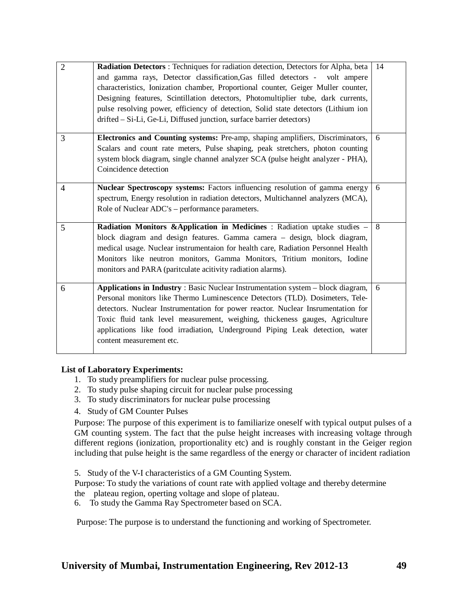| $\overline{2}$ | Radiation Detectors : Techniques for radiation detection, Detectors for Alpha, beta<br>and gamma rays, Detector classification, Gas filled detectors - volt ampere<br>characteristics, Ionization chamber, Proportional counter, Geiger Muller counter,<br>Designing features, Scintillation detectors, Photomultiplier tube, dark currents,<br>pulse resolving power, efficiency of detection, Solid state detectors (Lithium ion<br>drifted – Si-Li, Ge-Li, Diffused junction, surface barrier detectors) | 14 |
|----------------|-------------------------------------------------------------------------------------------------------------------------------------------------------------------------------------------------------------------------------------------------------------------------------------------------------------------------------------------------------------------------------------------------------------------------------------------------------------------------------------------------------------|----|
| 3              | Electronics and Counting systems: Pre-amp, shaping amplifiers, Discriminators,<br>Scalars and count rate meters, Pulse shaping, peak stretchers, photon counting<br>system block diagram, single channel analyzer SCA (pulse height analyzer - PHA),<br>Coincidence detection                                                                                                                                                                                                                               | 6  |
| 4              | Nuclear Spectroscopy systems: Factors influencing resolution of gamma energy<br>spectrum, Energy resolution in radiation detectors, Multichannel analyzers (MCA),<br>Role of Nuclear ADC's – performance parameters.                                                                                                                                                                                                                                                                                        | 6  |
| 5              | Radiation Monitors &Application in Medicines : Radiation uptake studies -<br>block diagram and design features. Gamma camera - design, block diagram,<br>medical usage. Nuclear instrumentaion for health care, Radiation Personnel Health<br>Monitors like neutron monitors, Gamma Monitors, Tritium monitors, Iodine<br>monitors and PARA (paritculate acitivity radiation alarms).                                                                                                                       | -8 |
| 6              | Applications in Industry: Basic Nuclear Instrumentation system - block diagram,<br>Personal monitors like Thermo Luminescence Detectors (TLD). Dosimeters, Tele-<br>detectors. Nuclear Instrumentation for power reactor. Nuclear Insrumentation for<br>Toxic fluid tank level measurement, weighing, thickeness gauges, Agriculture<br>applications like food irradiation, Underground Piping Leak detection, water<br>content measurement etc.                                                            | 6  |

## **List of Laboratory Experiments:**

- 1. To study preamplifiers for nuclear pulse processing.
- 2. To study pulse shaping circuit for nuclear pulse processing
- 3. To study discriminators for nuclear pulse processing
- 4. Study of GM Counter Pulses

Purpose: The purpose of this experiment is to familiarize oneself with typical output pulses of a GM counting system. The fact that the pulse height increases with increasing voltage through different regions (ionization, proportionality etc) and is roughly constant in the Geiger region including that pulse height is the same regardless of the energy or character of incident radiation

5. Study of the V-I characteristics of a GM Counting System.

Purpose: To study the variations of count rate with applied voltage and thereby determine the plateau region, operting voltage and slope of plateau.

6. To study the Gamma Ray Spectrometer based on SCA.

Purpose: The purpose is to understand the functioning and working of Spectrometer.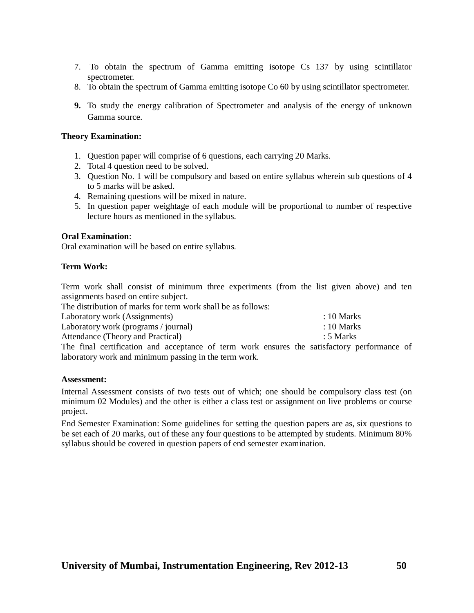- 7. To obtain the spectrum of Gamma emitting isotope Cs 137 by using scintillator spectrometer.
- 8. To obtain the spectrum of Gamma emitting isotope Co 60 by using scintillator spectrometer.
- **9.** To study the energy calibration of Spectrometer and analysis of the energy of unknown Gamma source.

## **Theory Examination:**

- 1. Question paper will comprise of 6 questions, each carrying 20 Marks.
- 2. Total 4 question need to be solved.
- 3. Question No. 1 will be compulsory and based on entire syllabus wherein sub questions of 4 to 5 marks will be asked.
- 4. Remaining questions will be mixed in nature.
- 5. In question paper weightage of each module will be proportional to number of respective lecture hours as mentioned in the syllabus.

## **Oral Examination**:

Oral examination will be based on entire syllabus.

## **Term Work:**

Term work shall consist of minimum three experiments (from the list given above) and ten assignments based on entire subject.

The distribution of marks for term work shall be as follows:<br>Laboratory work (Assignments)

| Laboratory work (Assignments)        |  | $: 10$ Marks |
|--------------------------------------|--|--------------|
| Laboratory work (programs / journal) |  | $: 10$ Marks |
| Attendance (Theory and Practical)    |  | : 5 Marks    |
| ___                                  |  |              |

The final certification and acceptance of term work ensures the satisfactory performance of laboratory work and minimum passing in the term work.

## **Assessment:**

Internal Assessment consists of two tests out of which; one should be compulsory class test (on minimum 02 Modules) and the other is either a class test or assignment on live problems or course project.

End Semester Examination: Some guidelines for setting the question papers are as, six questions to be set each of 20 marks, out of these any four questions to be attempted by students. Minimum 80% syllabus should be covered in question papers of end semester examination.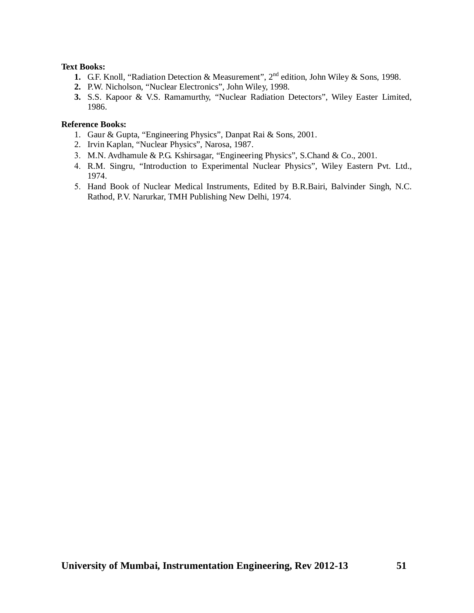## **Text Books:**

- 1. G.F. Knoll, "Radiation Detection & Measurement", 2<sup>nd</sup> edition, John Wiley & Sons, 1998.
- **2.** P.W. Nicholson, "Nuclear Electronics", John Wiley, 1998.
- **3.** S.S. Kapoor & V.S. Ramamurthy, "Nuclear Radiation Detectors", Wiley Easter Limited, 1986.

- 1. Gaur & Gupta, "Engineering Physics", Danpat Rai & Sons, 2001.
- 2. Irvin Kaplan, "Nuclear Physics", Narosa, 1987.
- M.N. Avdhamule & P.G. Kshirsagar, "Engineering Physics", S.Chand & Co., 2001.
- R.M. Singru, "Introduction to Experimental Nuclear Physics", Wiley Eastern Pvt. Ltd., 1974.
- 5. Hand Book of Nuclear Medical Instruments, Edited by B.R.Bairi, Balvinder Singh, N.C. Rathod, P.V. Narurkar, TMH Publishing New Delhi, 1974.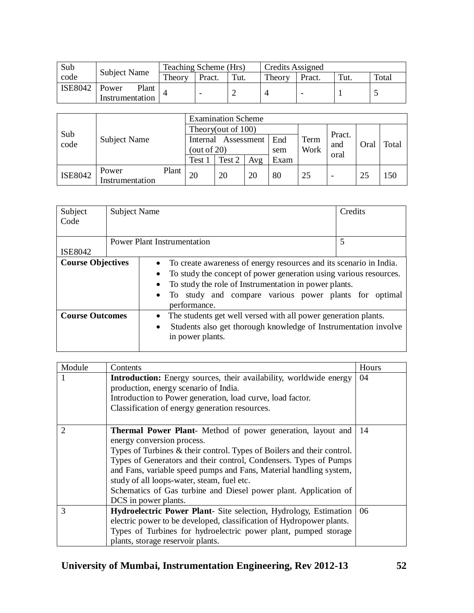| Sub            |                                   | Teaching Scheme (Hrs) |        |      | <b>Credits Assigned</b> |                 |         |       |
|----------------|-----------------------------------|-----------------------|--------|------|-------------------------|-----------------|---------|-------|
| code           | <b>Subject Name</b>               | Theory                | Pract. | Tut. | Theory                  | Pract.          | $T$ ut. | Total |
| <b>ISE8042</b> | Plant<br>Power<br>Instrumentation |                       |        |      |                         | $\qquad \qquad$ |         |       |

| Sub<br>code | Subject Name    |       | <b>Examination Scheme</b> |                    |     |      |      |                       |      |       |
|-------------|-----------------|-------|---------------------------|--------------------|-----|------|------|-----------------------|------|-------|
|             |                 |       |                           | Theory(out of 100) |     |      |      |                       |      |       |
|             |                 |       | Assessment<br>Internal    |                    |     | End  | Term | Pract.<br>and<br>oral | Oral | Total |
|             |                 |       | (out of $20$ )            |                    |     | sem  | Work |                       |      |       |
|             |                 |       | Test 1                    | Test 2             | Avg | Exam |      |                       |      |       |
| ISE8042     | Power           | Plant | 20                        | 20                 | 20  | 80   | 25   |                       | 25   | 50    |
|             | Instrumentation |       |                           |                    |     |      |      | -                     |      |       |

| Subject<br>Code          | <b>Subject Name</b> | Credits                                |                                                                                                                                                                                                                                                           |  |  |  |  |  |
|--------------------------|---------------------|----------------------------------------|-----------------------------------------------------------------------------------------------------------------------------------------------------------------------------------------------------------------------------------------------------------|--|--|--|--|--|
| <b>ISE8042</b>           |                     | <b>Power Plant Instrumentation</b>     |                                                                                                                                                                                                                                                           |  |  |  |  |  |
| <b>Course Objectives</b> |                     | $\bullet$<br>$\bullet$<br>performance. | To create awareness of energy resources and its scenario in India.<br>To study the concept of power generation using various resources.<br>To study the role of Instrumentation in power plants.<br>To study and compare various power plants for optimal |  |  |  |  |  |
| <b>Course Outcomes</b>   |                     | $\bullet$<br>in power plants.          | The students get well versed with all power generation plants.<br>Students also get thorough knowledge of Instrumentation involve                                                                                                                         |  |  |  |  |  |

| Module         | Contents                                                                                                                                                                                                                                                                                                                                                                                                                                                        | Hours |
|----------------|-----------------------------------------------------------------------------------------------------------------------------------------------------------------------------------------------------------------------------------------------------------------------------------------------------------------------------------------------------------------------------------------------------------------------------------------------------------------|-------|
|                | <b>Introduction:</b> Energy sources, their availability, worldwide energy<br>production, energy scenario of India.<br>Introduction to Power generation, load curve, load factor.<br>Classification of energy generation resources.                                                                                                                                                                                                                              | 04    |
| $\overline{2}$ | <b>Thermal Power Plant-</b> Method of power generation, layout and<br>energy conversion process.<br>Types of Turbines & their control. Types of Boilers and their control.<br>Types of Generators and their control, Condensers. Types of Pumps<br>and Fans, variable speed pumps and Fans, Material handling system,<br>study of all loops-water, steam, fuel etc.<br>Schematics of Gas turbine and Diesel power plant. Application of<br>DCS in power plants. | 14    |
| 3              | <b>Hydroelectric Power Plant-</b> Site selection, Hydrology, Estimation<br>electric power to be developed, classification of Hydropower plants.<br>Types of Turbines for hydroelectric power plant, pumped storage<br>plants, storage reservoir plants.                                                                                                                                                                                                         | 06    |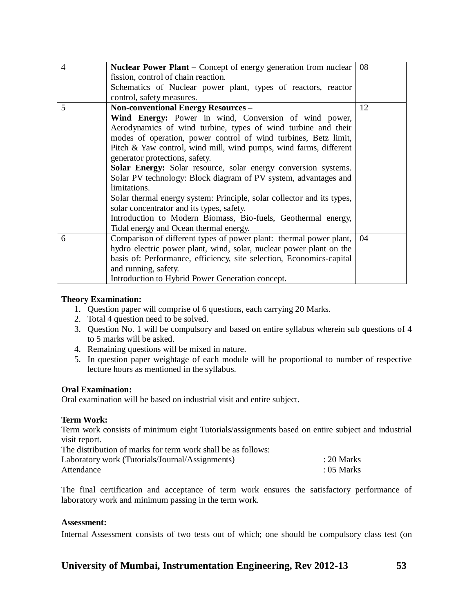| $\overline{4}$ | <b>Nuclear Power Plant – Concept of energy generation from nuclear</b> | 08 |
|----------------|------------------------------------------------------------------------|----|
|                | fission, control of chain reaction.                                    |    |
|                | Schematics of Nuclear power plant, types of reactors, reactor          |    |
|                | control, safety measures.                                              |    |
| 5              | <b>Non-conventional Energy Resources -</b>                             | 12 |
|                | Wind Energy: Power in wind, Conversion of wind power,                  |    |
|                | Aerodynamics of wind turbine, types of wind turbine and their          |    |
|                | modes of operation, power control of wind turbines, Betz limit,        |    |
|                | Pitch & Yaw control, wind mill, wind pumps, wind farms, different      |    |
|                | generator protections, safety.                                         |    |
|                | Solar Energy: Solar resource, solar energy conversion systems.         |    |
|                | Solar PV technology: Block diagram of PV system, advantages and        |    |
|                | limitations.                                                           |    |
|                | Solar thermal energy system: Principle, solar collector and its types, |    |
|                | solar concentrator and its types, safety.                              |    |
|                | Introduction to Modern Biomass, Bio-fuels, Geothermal energy,          |    |
|                | Tidal energy and Ocean thermal energy.                                 |    |
| 6              | Comparison of different types of power plant: thermal power plant,     | 04 |
|                | hydro electric power plant, wind, solar, nuclear power plant on the    |    |
|                | basis of: Performance, efficiency, site selection, Economics-capital   |    |
|                | and running, safety.                                                   |    |
|                | Introduction to Hybrid Power Generation concept.                       |    |

## **Theory Examination:**

- 1. Question paper will comprise of 6 questions, each carrying 20 Marks.
- 2. Total 4 question need to be solved.
- 3. Question No. 1 will be compulsory and based on entire syllabus wherein sub questions of 4 to 5 marks will be asked.
- 4. Remaining questions will be mixed in nature.
- 5. In question paper weightage of each module will be proportional to number of respective lecture hours as mentioned in the syllabus.

## **Oral Examination:**

Oral examination will be based on industrial visit and entire subject.

## **Term Work:**

Term work consists of minimum eight Tutorials/assignments based on entire subject and industrial visit report.<br>The distribution

| $: 20$ Marks |
|--------------|
| $: 05$ Marks |
|              |

The final certification and acceptance of term work ensures the satisfactory performance of laboratory work and minimum passing in the term work.

## **Assessment:**

Internal Assessment consists of two tests out of which; one should be compulsory class test (on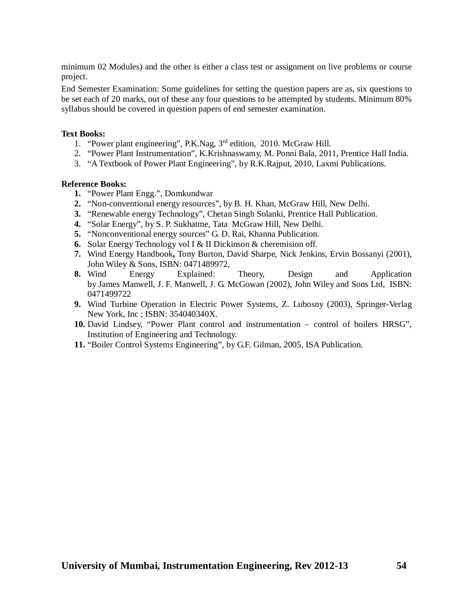minimum 02 Modules) and the other is either a class test or assignment on live problems or course project.

End Semester Examination: Some guidelines for setting the question papers are as, six questions to be set each of 20 marks, out of these any four questions to be attempted by students. Minimum 80% syllabus should be covered in question papers of end semester examination.

## **Text Books:**

- 1. "Power plant engineering", P.K.Nag, 3<sup>rd</sup> edition, 2010. McGraw Hill.
- 2. "Power Plant Instrumentation", K.Krishnaswamy, M. Ponni Bala, 2011, Prentice Hall India.
- 3. "A Textbook of Power Plant Engineering", by R.K.Rajput, 2010, Laxmi Publications.

- **1.** "Power Plant Engg.", Domkundwar
- **2.** "Non-conventional energy resources", by B. H. Khan, McGraw Hill, New Delhi.
- **3.** "Renewable energy Technology", Chetan Singh Solanki, Prentice Hall Publication.
- **4.** "Solar Energy", by S. P. Sukhatme, Tata McGraw Hill, New Delhi.
- **5.** "Nonconventional energy sources" G. D. Rai, Khanna Publication.
- **6.** Solar Energy Technology vol I & II Dickinson & cheremision off.
- **7.** Wind Energy Handbook**,** Tony Burton, David Sharpe, Nick Jenkins, Ervin Bossanyi (2001), John Wiley & Sons, ISBN: 0471489972,
- **8.** Wind Energy Explained: Theory, Design and Application by James Manwell, J. F. Manwell, J. G. McGowan (2002), John Wiley and Sons Ltd, ISBN: 0471499722
- **9.** Wind Turbine Operation in Electric Power Systems, Z. Lubosny (2003), Springer-Verlag New York, Inc ; ISBN: 354040340X.
- **10.** David Lindsey, "Power Plant control and instrumentation control of boilers HRSG", Institution of Engineering and Technology.
- **11.** "Boiler Control Systems Engineering", by G.F. Gilman, 2005, ISA Publication.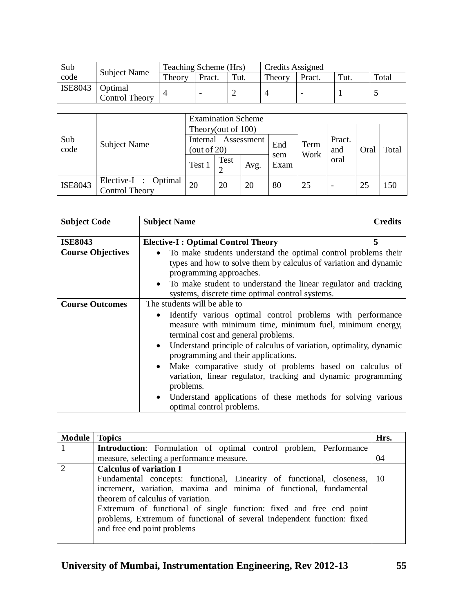| Sub     | <b>Subject Name</b>       | Teaching Scheme (Hrs) |        |      | Credits Assigned |                 |      |       |
|---------|---------------------------|-----------------------|--------|------|------------------|-----------------|------|-------|
| code    |                           | Theory                | Pract. | Tut. | Theory           | Pract.          | Tut. | Total |
| ISE8043 | Optimal<br>Control Theory |                       |        |      |                  | $\qquad \qquad$ |      |       |

| Sub<br>code    | Subject Name                           | <b>Examination Scheme</b>                |      |      |             |              |                          |      |       |  |
|----------------|----------------------------------------|------------------------------------------|------|------|-------------|--------------|--------------------------|------|-------|--|
|                |                                        | Theory(out of 100)                       |      |      |             |              |                          |      |       |  |
|                |                                        | Internal<br>Assessment<br>(out of $20$ ) |      |      | End         | Term<br>Work | Pract.<br>and            | Oral | Total |  |
|                |                                        | Test 1                                   | Test | Avg. | sem<br>Exam |              | oral                     |      |       |  |
| <b>ISE8043</b> | Elective-I : Optimal<br>Control Theory | 20                                       | 20   | 20   | 80          | 25           | $\overline{\phantom{a}}$ | 25   | 150   |  |

| <b>Subject Code</b>      | <b>Subject Name</b>                                                                                                                                                                                                                                                                                                                                                                                                                                                                                                                                                                                  | <b>Credits</b> |  |  |  |  |
|--------------------------|------------------------------------------------------------------------------------------------------------------------------------------------------------------------------------------------------------------------------------------------------------------------------------------------------------------------------------------------------------------------------------------------------------------------------------------------------------------------------------------------------------------------------------------------------------------------------------------------------|----------------|--|--|--|--|
| <b>ISE8043</b>           | <b>Elective-I: Optimal Control Theory</b>                                                                                                                                                                                                                                                                                                                                                                                                                                                                                                                                                            | 5              |  |  |  |  |
| <b>Course Objectives</b> | To make students understand the optimal control problems their<br>$\bullet$<br>types and how to solve them by calculus of variation and dynamic<br>programming approaches.<br>To make student to understand the linear regulator and tracking<br>$\bullet$<br>systems, discrete time optimal control systems.                                                                                                                                                                                                                                                                                        |                |  |  |  |  |
| <b>Course Outcomes</b>   | The students will be able to<br>Identify various optimal control problems with performance<br>$\bullet$<br>measure with minimum time, minimum fuel, minimum energy,<br>terminal cost and general problems.<br>Understand principle of calculus of variation, optimality, dynamic<br>$\bullet$<br>programming and their applications.<br>Make comparative study of problems based on calculus of<br>$\bullet$<br>variation, linear regulator, tracking and dynamic programming<br>problems.<br>Understand applications of these methods for solving various<br>$\bullet$<br>optimal control problems. |                |  |  |  |  |

| <b>Module   Topics</b> |                                                                          | Hrs. |
|------------------------|--------------------------------------------------------------------------|------|
|                        | <b>Introduction:</b> Formulation of optimal control problem, Performance |      |
|                        | measure, selecting a performance measure.                                | 04   |
|                        | <b>Calculus of variation I</b>                                           |      |
|                        | Fundamental concepts: functional, Linearity of functional, closeness,    | -10  |
|                        | increment, variation, maxima and minima of functional, fundamental       |      |
|                        | theorem of calculus of variation.                                        |      |
|                        | Extremum of functional of single function: fixed and free end point      |      |
|                        | problems, Extremum of functional of several independent function: fixed  |      |
|                        | and free end point problems                                              |      |
|                        |                                                                          |      |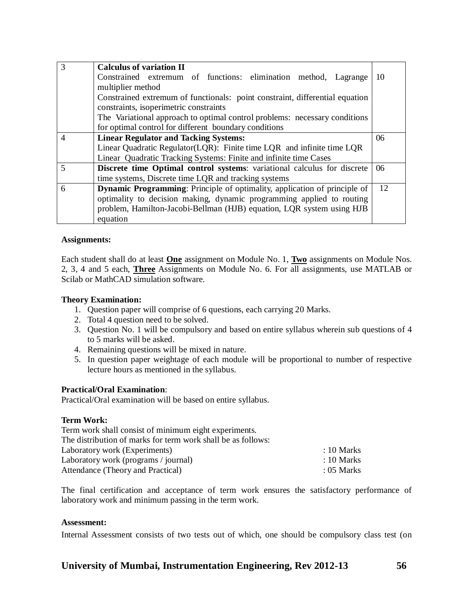| 3              | <b>Calculus of variation II</b>                                                  |    |  |  |  |  |  |  |  |
|----------------|----------------------------------------------------------------------------------|----|--|--|--|--|--|--|--|
|                | Constrained extremum of functions: elimination method, Lagrange                  | 10 |  |  |  |  |  |  |  |
|                | multiplier method                                                                |    |  |  |  |  |  |  |  |
|                | Constrained extremum of functionals: point constraint, differential equation     |    |  |  |  |  |  |  |  |
|                | constraints, isoperimetric constraints                                           |    |  |  |  |  |  |  |  |
|                | The Variational approach to optimal control problems: necessary conditions       |    |  |  |  |  |  |  |  |
|                | for optimal control for different boundary conditions                            |    |  |  |  |  |  |  |  |
| $\overline{4}$ | <b>Linear Regulator and Tacking Systems:</b>                                     | 06 |  |  |  |  |  |  |  |
|                | Linear Quadratic Regulator(LQR): Finite time LQR and infinite time LQR           |    |  |  |  |  |  |  |  |
|                | Linear Quadratic Tracking Systems: Finite and infinite time Cases                |    |  |  |  |  |  |  |  |
| 5              | Discrete time Optimal control systems: variational calculus for discrete         | 06 |  |  |  |  |  |  |  |
|                | time systems, Discrete time LQR and tracking systems                             |    |  |  |  |  |  |  |  |
| 6              | <b>Dynamic Programming:</b> Principle of optimality, application of principle of | 12 |  |  |  |  |  |  |  |
|                | optimality to decision making, dynamic programming applied to routing            |    |  |  |  |  |  |  |  |
|                | problem, Hamilton-Jacobi-Bellman (HJB) equation, LQR system using HJB            |    |  |  |  |  |  |  |  |
|                | equation                                                                         |    |  |  |  |  |  |  |  |

## **Assignments:**

Each student shall do at least **One** assignment on Module No. 1, **Two** assignments on Module Nos. 2, 3, 4 and 5 each, **Three** Assignments on Module No. 6. For all assignments, use MATLAB or Scilab or MathCAD simulation software.

#### **Theory Examination:**

- 1. Question paper will comprise of 6 questions, each carrying 20 Marks.
- 2. Total 4 question need to be solved.
- 3. Question No. 1 will be compulsory and based on entire syllabus wherein sub questions of 4 to 5 marks will be asked.
- 4. Remaining questions will be mixed in nature.
- 5. In question paper weightage of each module will be proportional to number of respective lecture hours as mentioned in the syllabus.

## **Practical/Oral Examination**:

Practical/Oral examination will be based on entire syllabus.

## **Term Work:**

| Term work shall consist of minimum eight experiments.        |                       |
|--------------------------------------------------------------|-----------------------|
| The distribution of marks for term work shall be as follows: |                       |
| Laboratory work (Experiments)                                | $\therefore$ 10 Marks |
| Laboratory work (programs / journal)                         | $\therefore$ 10 Marks |
| Attendance (Theory and Practical)                            | $: 05$ Marks          |

The final certification and acceptance of term work ensures the satisfactory performance of laboratory work and minimum passing in the term work.

#### **Assessment:**

Internal Assessment consists of two tests out of which, one should be compulsory class test (on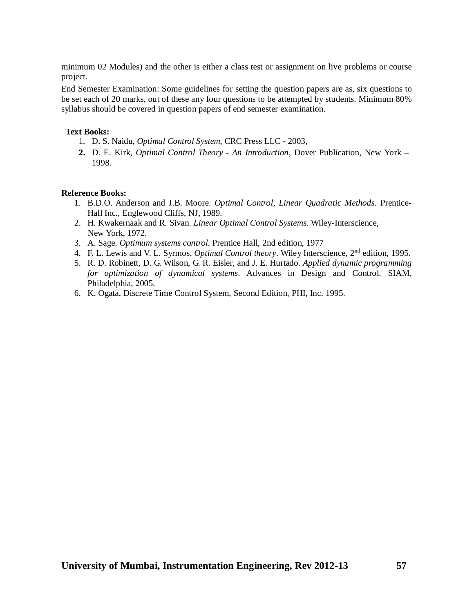minimum 02 Modules) and the other is either a class test or assignment on live problems or course project.

End Semester Examination: Some guidelines for setting the question papers are as, six questions to be set each of 20 marks, out of these any four questions to be attempted by students. Minimum 80% syllabus should be covered in question papers of end semester examination.

## **Text Books:**

- 1. D. S. Naidu, *Optimal Control System*, CRC Press LLC 2003,
- **2.** D. E. Kirk, *Optimal Control Theory - An Introduction*, Dover Publication, New York 1998.

- 1. B.D.O. Anderson and J.B. Moore. *Optimal Control, Linear Quadratic Methods*. Prentice-Hall Inc., Englewood Cliffs, NJ, 1989.
- 2. H. Kwakernaak and R. Sivan. *Linear Optimal Control Systems*. Wiley-Interscience, New York, 1972.
- 3. A. Sage. *Optimum systems control*. Prentice Hall, 2nd edition, 1977
- 4. F. L. Lewis and V. L. Syrmos. *Optimal Control theory*. Wiley Interscience, 2<sup>nd</sup> edition, 1995.
- 5. R. D. Robinett, D. G. Wilson, G. R. Eisler, and J. E. Hurtado. *Applied dynamic programming for optimization of dynamical systems*. Advances in Design and Control. SIAM, Philadelphia, 2005.
- 6. K. Ogata, Discrete Time Control System, Second Edition, PHI, Inc. 1995.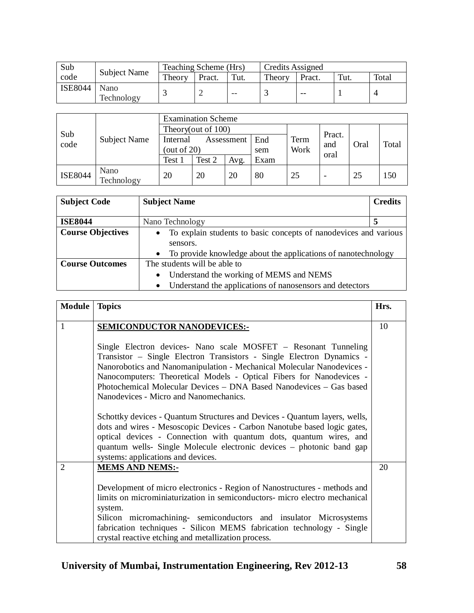| Sub            | <b>Subject Name</b> | Teaching Scheme (Hrs) |        |       |        | Credits Assigned |      |       |  |
|----------------|---------------------|-----------------------|--------|-------|--------|------------------|------|-------|--|
| code           |                     | Theory                | Pract. | Tut.  | Theory | Pract.           | Tut. | Total |  |
| <b>ISE8044</b> | Nano<br>Technology  |                       |        | $- -$ |        | $- -$            |      |       |  |

|                | Subject Name       | <b>Examination Scheme</b> |                    |      |      |      |             |      |       |  |  |
|----------------|--------------------|---------------------------|--------------------|------|------|------|-------------|------|-------|--|--|
|                |                    |                           | Theory(out of 100) |      |      |      |             |      |       |  |  |
| Sub<br>code    |                    | Internal<br>Assessment    |                    |      | End  | Term | Pract.      |      | Total |  |  |
|                |                    | (out of $20$ )            |                    |      | sem  | Work | and<br>oral | Oral |       |  |  |
|                |                    | Test 1                    | Test 2             | Avg. | Exam |      |             |      |       |  |  |
| <b>ISE8044</b> | Nano<br>Technology | 20                        | 20                 | 20   | 80   | 25   |             | 25   | 150   |  |  |

| <b>Subject Code</b>      | <b>Subject Name</b>                                                   | <b>Credits</b> |  |  |  |  |  |
|--------------------------|-----------------------------------------------------------------------|----------------|--|--|--|--|--|
|                          |                                                                       |                |  |  |  |  |  |
| <b>ISE8044</b>           | Nano Technology                                                       |                |  |  |  |  |  |
| <b>Course Objectives</b> | • To explain students to basic concepts of nanodevices and various    |                |  |  |  |  |  |
|                          | sensors.                                                              |                |  |  |  |  |  |
|                          | • To provide knowledge about the applications of nanotechnology       |                |  |  |  |  |  |
| <b>Course Outcomes</b>   | The students will be able to                                          |                |  |  |  |  |  |
|                          | Understand the working of MEMS and NEMS<br>$\bullet$                  |                |  |  |  |  |  |
|                          | Understand the applications of nanosensors and detectors<br>$\bullet$ |                |  |  |  |  |  |

| <b>Module</b>  | <b>Topics</b>                                                                                                                                                                                                                                                                                                                                                                                               | Hrs. |
|----------------|-------------------------------------------------------------------------------------------------------------------------------------------------------------------------------------------------------------------------------------------------------------------------------------------------------------------------------------------------------------------------------------------------------------|------|
| 1              | <b>SEMICONDUCTOR NANODEVICES:-</b>                                                                                                                                                                                                                                                                                                                                                                          | 10   |
|                | Single Electron devices- Nano scale MOSFET - Resonant Tunneling<br>Transistor - Single Electron Transistors - Single Electron Dynamics -<br>Nanorobotics and Nanomanipulation - Mechanical Molecular Nanodevices -<br>Nanocomputers: Theoretical Models - Optical Fibers for Nanodevices -<br>Photochemical Molecular Devices – DNA Based Nanodevices – Gas based<br>Nanodevices - Micro and Nanomechanics. |      |
|                | Schottky devices - Quantum Structures and Devices - Quantum layers, wells,<br>dots and wires - Mesoscopic Devices - Carbon Nanotube based logic gates,<br>optical devices - Connection with quantum dots, quantum wires, and<br>quantum wells- Single Molecule electronic devices – photonic band gap<br>systems: applications and devices.                                                                 |      |
| $\overline{2}$ | <b>MEMS AND NEMS:-</b>                                                                                                                                                                                                                                                                                                                                                                                      | 20   |
|                | Development of micro electronics - Region of Nanostructures - methods and<br>limits on microminiaturization in semiconductors- micro electro mechanical<br>system.<br>Silicon micromachining- semiconductors and insulator Microsystems<br>fabrication techniques - Silicon MEMS fabrication technology - Single<br>crystal reactive etching and metallization process.                                     |      |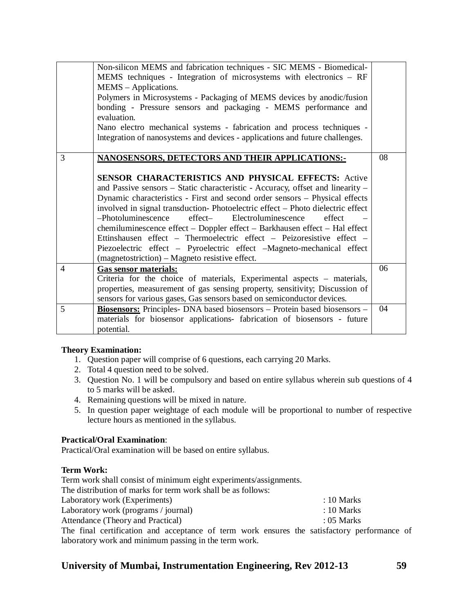|   | Non-silicon MEMS and fabrication techniques - SIC MEMS - Biomedical-            |    |
|---|---------------------------------------------------------------------------------|----|
|   | MEMS techniques - Integration of microsystems with electronics - RF             |    |
|   | MEMS - Applications.                                                            |    |
|   | Polymers in Microsystems - Packaging of MEMS devices by anodic/fusion           |    |
|   | bonding - Pressure sensors and packaging - MEMS performance and                 |    |
|   | evaluation.                                                                     |    |
|   | Nano electro mechanical systems - fabrication and process techniques -          |    |
|   | Integration of nanosystems and devices - applications and future challenges.    |    |
|   |                                                                                 |    |
| 3 | <b>NANOSENSORS, DETECTORS AND THEIR APPLICATIONS:-</b>                          | 08 |
|   |                                                                                 |    |
|   | <b>SENSOR CHARACTERISTICS AND PHYSICAL EFFECTS: Active</b>                      |    |
|   | and Passive sensors – Static characteristic - Accuracy, offset and linearity –  |    |
|   | Dynamic characteristics - First and second order sensors - Physical effects     |    |
|   | involved in signal transduction-Photoelectric effect - Photo dielectric effect  |    |
|   | $-$ Photoluminescence<br>effect—<br>Electroluminescence<br>effect               |    |
|   | chemiluminescence effect - Doppler effect - Barkhausen effect - Hal effect      |    |
|   | Ettinshausen effect – Thermoelectric effect – Peizoresistive effect –           |    |
|   | Piezoelectric effect – Pyroelectric effect – Magneto-mechanical effect          |    |
|   | (magnetostriction) – Magneto resistive effect.                                  |    |
| 4 | Gas sensor materials:                                                           | 06 |
|   | Criteria for the choice of materials, Experimental aspects – materials,         |    |
|   | properties, measurement of gas sensing property, sensitivity; Discussion of     |    |
|   | sensors for various gases, Gas sensors based on semiconductor devices.          |    |
| 5 | <b>Biosensors:</b> Principles-DNA based biosensors – Protein based biosensors – | 04 |
|   | materials for biosensor applications- fabrication of biosensors - future        |    |
|   | potential.                                                                      |    |

## **Theory Examination:**

- 1. Question paper will comprise of 6 questions, each carrying 20 Marks.
- 2. Total 4 question need to be solved.
- 3. Question No. 1 will be compulsory and based on entire syllabus wherein sub questions of 4 to 5 marks will be asked.
- 4. Remaining questions will be mixed in nature.
- 5. In question paper weightage of each module will be proportional to number of respective lecture hours as mentioned in the syllabus.

## **Practical/Oral Examination**:

Practical/Oral examination will be based on entire syllabus.

## **Term Work:**

Term work shall consist of minimum eight experiments/assignments.

The distribution of marks for term work shall be as follows:

Laboratory work (Experiments) : 10 Marks

| Attendance (Theory and Practical) | $: 05$ Marks |
|-----------------------------------|--------------|

The final certification and acceptance of term work ensures the satisfactory performance of laboratory work and minimum passing in the term work.

## **University of Mumbai, Instrumentation Engineering, Rev 2012-13 59**

 $: 10$  Marks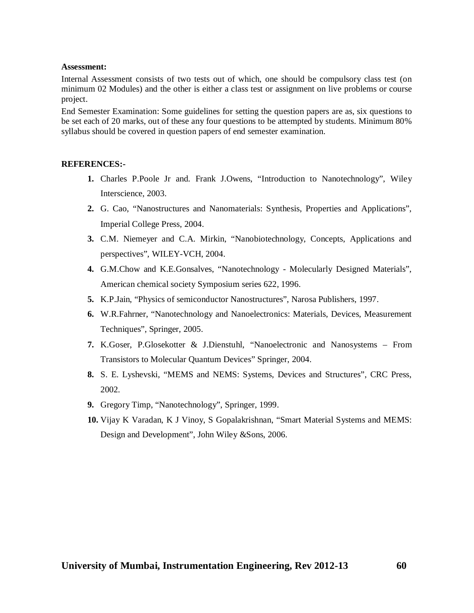#### **Assessment:**

Internal Assessment consists of two tests out of which, one should be compulsory class test (on minimum 02 Modules) and the other is either a class test or assignment on live problems or course project.

End Semester Examination: Some guidelines for setting the question papers are as, six questions to be set each of 20 marks, out of these any four questions to be attempted by students. Minimum 80% syllabus should be covered in question papers of end semester examination.

## **REFERENCES:-**

- **1.** Charles P.Poole Jr and. Frank J.Owens, "Introduction to Nanotechnology", Wiley Interscience, 2003.
- **2.** G. Cao, "Nanostructures and Nanomaterials: Synthesis, Properties and Applications", Imperial College Press, 2004.
- **3.** C.M. Niemeyer and C.A. Mirkin, "Nanobiotechnology, Concepts, Applications and perspectives", WILEY-VCH, 2004.
- **4.** G.M.Chow and K.E.Gonsalves, "Nanotechnology Molecularly Designed Materials", American chemical society Symposium series 622, 1996.
- **5.** K.P.Jain, "Physics of semiconductor Nanostructures", Narosa Publishers, 1997.
- **6.** W.R.Fahrner, "Nanotechnology and Nanoelectronics: Materials, Devices, Measurement Techniques", Springer, 2005.
- **7.** K.Goser, P.Glosekotter & J.Dienstuhl, "Nanoelectronic and Nanosystems From Transistors to Molecular Quantum Devices" Springer, 2004.
- **8.** S. E. Lyshevski, "MEMS and NEMS: Systems, Devices and Structures", CRC Press, 2002.
- **9.** Gregory Timp, "Nanotechnology", Springer, 1999.
- **10.** Vijay K Varadan, K J Vinoy, S Gopalakrishnan, "Smart Material Systems and MEMS: Design and Development", John Wiley &Sons, 2006.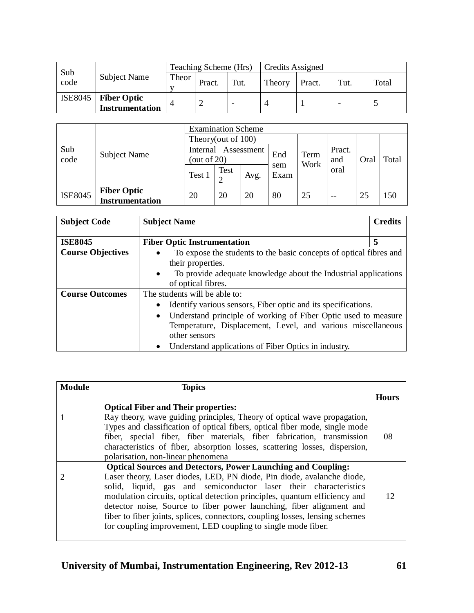| Sub     |                                        | Teaching Scheme (Hrs) |        |      | Credits Assigned |        |                          |       |
|---------|----------------------------------------|-----------------------|--------|------|------------------|--------|--------------------------|-------|
| code    | Subject Name                           | Theor                 | Pract. | Tut. | Theory           | Pract. | Tut.                     | Total |
| ISE8045 | <b>Fiber Optic<br/>Instrumentation</b> |                       |        |      |                  |        | $\overline{\phantom{a}}$ |       |

|                | <b>Subject Name</b>                          | <b>Examination Scheme</b>                |                       |      |             |              |               |      |       |  |
|----------------|----------------------------------------------|------------------------------------------|-----------------------|------|-------------|--------------|---------------|------|-------|--|
|                |                                              |                                          | Theory(out of $100$ ) |      |             |              |               |      |       |  |
| Sub<br>code    |                                              | Assessment<br>Internal<br>(out of $20$ ) |                       |      | End         | Term<br>Work | Pract.<br>and | Oral | Total |  |
|                |                                              | Test 1                                   | Test                  | Avg. | sem<br>Exam |              | oral          |      |       |  |
| <b>ISE8045</b> | <b>Fiber Optic</b><br><b>Instrumentation</b> | 20                                       | 20                    | 20   | 80          | 25           | $- -$         | 25   | 150   |  |

| <b>Subject Code</b>      | <b>Subject Name</b>                                                          | <b>Credits</b> |
|--------------------------|------------------------------------------------------------------------------|----------------|
|                          |                                                                              |                |
| <b>ISE8045</b>           | <b>Fiber Optic Instrumentation</b>                                           | 5              |
| <b>Course Objectives</b> | To expose the students to the basic concepts of optical fibres and           |                |
|                          | their properties.                                                            |                |
|                          | To provide adequate knowledge about the Industrial applications<br>$\bullet$ |                |
|                          | of optical fibres.                                                           |                |
| <b>Course Outcomes</b>   | The students will be able to:                                                |                |
|                          | Identify various sensors, Fiber optic and its specifications.<br>$\bullet$   |                |
|                          | Understand principle of working of Fiber Optic used to measure<br>$\bullet$  |                |
|                          | Temperature, Displacement, Level, and various miscellaneous                  |                |
|                          | other sensors                                                                |                |
|                          | Understand applications of Fiber Optics in industry.<br>$\bullet$            |                |

| <b>Module</b> | <b>Topics</b>                                                                                                                                                                                                                                                                                                                                                                                                                                                                                                          |              |
|---------------|------------------------------------------------------------------------------------------------------------------------------------------------------------------------------------------------------------------------------------------------------------------------------------------------------------------------------------------------------------------------------------------------------------------------------------------------------------------------------------------------------------------------|--------------|
|               |                                                                                                                                                                                                                                                                                                                                                                                                                                                                                                                        | <b>Hours</b> |
|               | <b>Optical Fiber and Their properties:</b>                                                                                                                                                                                                                                                                                                                                                                                                                                                                             |              |
|               | Ray theory, wave guiding principles, Theory of optical wave propagation,<br>Types and classification of optical fibers, optical fiber mode, single mode<br>fiber, special fiber, fiber materials, fiber fabrication, transmission<br>characteristics of fiber, absorption losses, scattering losses, dispersion,<br>polarisation, non-linear phenomena                                                                                                                                                                 | 08           |
|               | <b>Optical Sources and Detectors, Power Launching and Coupling:</b><br>Laser theory, Laser diodes, LED, PN diode, Pin diode, avalanche diode,<br>solid, liquid, gas and semiconductor laser their characteristics<br>modulation circuits, optical detection principles, quantum efficiency and<br>detector noise, Source to fiber power launching, fiber alignment and<br>fiber to fiber joints, splices, connectors, coupling losses, lensing schemes<br>for coupling improvement, LED coupling to single mode fiber. | 12           |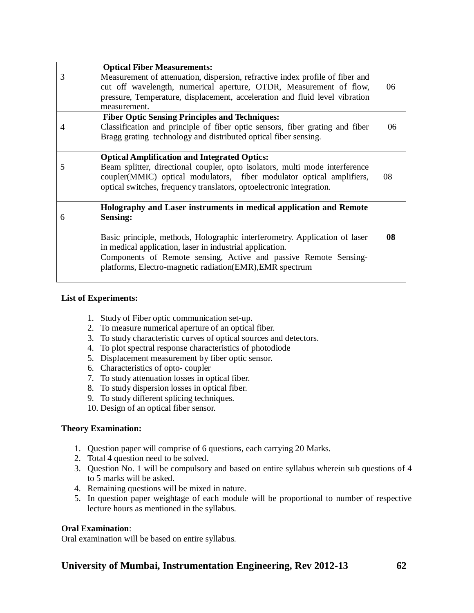| 3 | <b>Optical Fiber Measurements:</b><br>Measurement of attenuation, dispersion, refractive index profile of fiber and<br>cut off wavelength, numerical aperture, OTDR, Measurement of flow,<br>pressure, Temperature, displacement, acceleration and fluid level vibration<br>measurement.                                                                        | 06 |
|---|-----------------------------------------------------------------------------------------------------------------------------------------------------------------------------------------------------------------------------------------------------------------------------------------------------------------------------------------------------------------|----|
| 4 | <b>Fiber Optic Sensing Principles and Techniques:</b><br>Classification and principle of fiber optic sensors, fiber grating and fiber<br>Bragg grating technology and distributed optical fiber sensing.                                                                                                                                                        | 06 |
| 5 | <b>Optical Amplification and Integrated Optics:</b><br>Beam splitter, directional coupler, opto isolators, multi mode interference<br>coupler(MMIC) optical modulators, fiber modulator optical amplifiers,<br>optical switches, frequency translators, optoelectronic integration.                                                                             | 08 |
| 6 | Holography and Laser instruments in medical application and Remote<br><b>Sensing:</b><br>Basic principle, methods, Holographic interferometry. Application of laser<br>in medical application, laser in industrial application.<br>Components of Remote sensing, Active and passive Remote Sensing-<br>platforms, Electro-magnetic radiation(EMR), EMR spectrum | 08 |

## **List of Experiments:**

- 1. Study of Fiber optic communication set-up.
- 2. To measure numerical aperture of an optical fiber.
- 3. To study characteristic curves of optical sources and detectors.
- 4. To plot spectral response characteristics of photodiode
- 5. Displacement measurement by fiber optic sensor.
- 6. Characteristics of opto- coupler
- 7. To study attenuation losses in optical fiber.
- 8. To study dispersion losses in optical fiber.
- 9. To study different splicing techniques.
- 10. Design of an optical fiber sensor.

## **Theory Examination:**

- 1. Question paper will comprise of 6 questions, each carrying 20 Marks.
- 2. Total 4 question need to be solved.
- 3. Question No. 1 will be compulsory and based on entire syllabus wherein sub questions of 4 to 5 marks will be asked.
- 4. Remaining questions will be mixed in nature.
- 5. In question paper weightage of each module will be proportional to number of respective lecture hours as mentioned in the syllabus.

## **Oral Examination**:

Oral examination will be based on entire syllabus.

## **University of Mumbai, Instrumentation Engineering, Rev 2012-13 62**